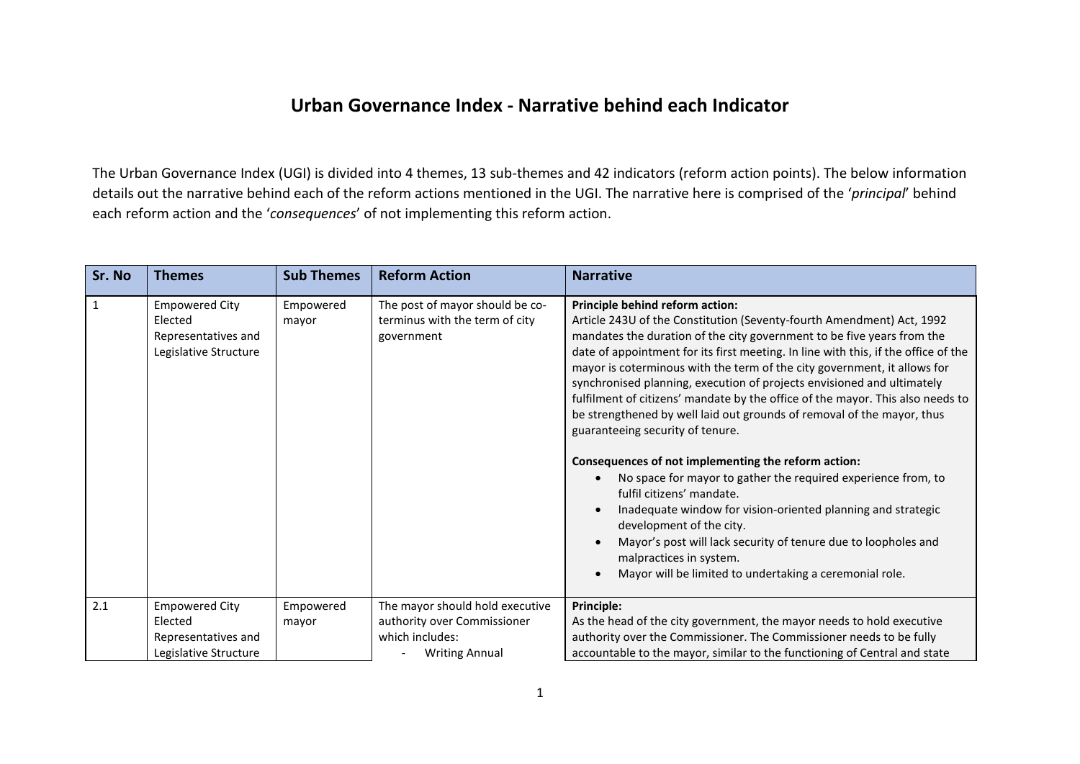## **Urban Governance Index - Narrative behind each Indicator**

The Urban Governance Index (UGI) is divided into 4 themes, 13 sub-themes and 42 indicators (reform action points). The below information details out the narrative behind each of the reform actions mentioned in the UGI. The narrative here is comprised of the '*principal*' behind each reform action and the '*consequences*' of not implementing this reform action.

| Sr. No       | <b>Themes</b>                                                                    | <b>Sub Themes</b>  | <b>Reform Action</b>                                                            | <b>Narrative</b>                                                                                                                                                                                                                                                                                                                                                                                                                                                                                                                                                                                                                                                                                                                                                                                                                                                                                                                                                                                                                        |
|--------------|----------------------------------------------------------------------------------|--------------------|---------------------------------------------------------------------------------|-----------------------------------------------------------------------------------------------------------------------------------------------------------------------------------------------------------------------------------------------------------------------------------------------------------------------------------------------------------------------------------------------------------------------------------------------------------------------------------------------------------------------------------------------------------------------------------------------------------------------------------------------------------------------------------------------------------------------------------------------------------------------------------------------------------------------------------------------------------------------------------------------------------------------------------------------------------------------------------------------------------------------------------------|
| $\mathbf{1}$ | <b>Empowered City</b><br>Elected<br>Representatives and<br>Legislative Structure | Empowered<br>mayor | The post of mayor should be co-<br>terminus with the term of city<br>government | Principle behind reform action:<br>Article 243U of the Constitution (Seventy-fourth Amendment) Act, 1992<br>mandates the duration of the city government to be five years from the<br>date of appointment for its first meeting. In line with this, if the office of the<br>mayor is coterminous with the term of the city government, it allows for<br>synchronised planning, execution of projects envisioned and ultimately<br>fulfilment of citizens' mandate by the office of the mayor. This also needs to<br>be strengthened by well laid out grounds of removal of the mayor, thus<br>guaranteeing security of tenure.<br>Consequences of not implementing the reform action:<br>No space for mayor to gather the required experience from, to<br>fulfil citizens' mandate.<br>Inadequate window for vision-oriented planning and strategic<br>development of the city.<br>Mayor's post will lack security of tenure due to loopholes and<br>malpractices in system.<br>Mayor will be limited to undertaking a ceremonial role. |
| 2.1          | <b>Empowered City</b>                                                            | Empowered          | The mayor should hold executive                                                 | Principle:                                                                                                                                                                                                                                                                                                                                                                                                                                                                                                                                                                                                                                                                                                                                                                                                                                                                                                                                                                                                                              |
|              | Elected                                                                          | mayor              | authority over Commissioner                                                     | As the head of the city government, the mayor needs to hold executive                                                                                                                                                                                                                                                                                                                                                                                                                                                                                                                                                                                                                                                                                                                                                                                                                                                                                                                                                                   |
|              | Representatives and                                                              |                    | which includes:                                                                 | authority over the Commissioner. The Commissioner needs to be fully                                                                                                                                                                                                                                                                                                                                                                                                                                                                                                                                                                                                                                                                                                                                                                                                                                                                                                                                                                     |
|              | Legislative Structure                                                            |                    | <b>Writing Annual</b>                                                           | accountable to the mayor, similar to the functioning of Central and state                                                                                                                                                                                                                                                                                                                                                                                                                                                                                                                                                                                                                                                                                                                                                                                                                                                                                                                                                               |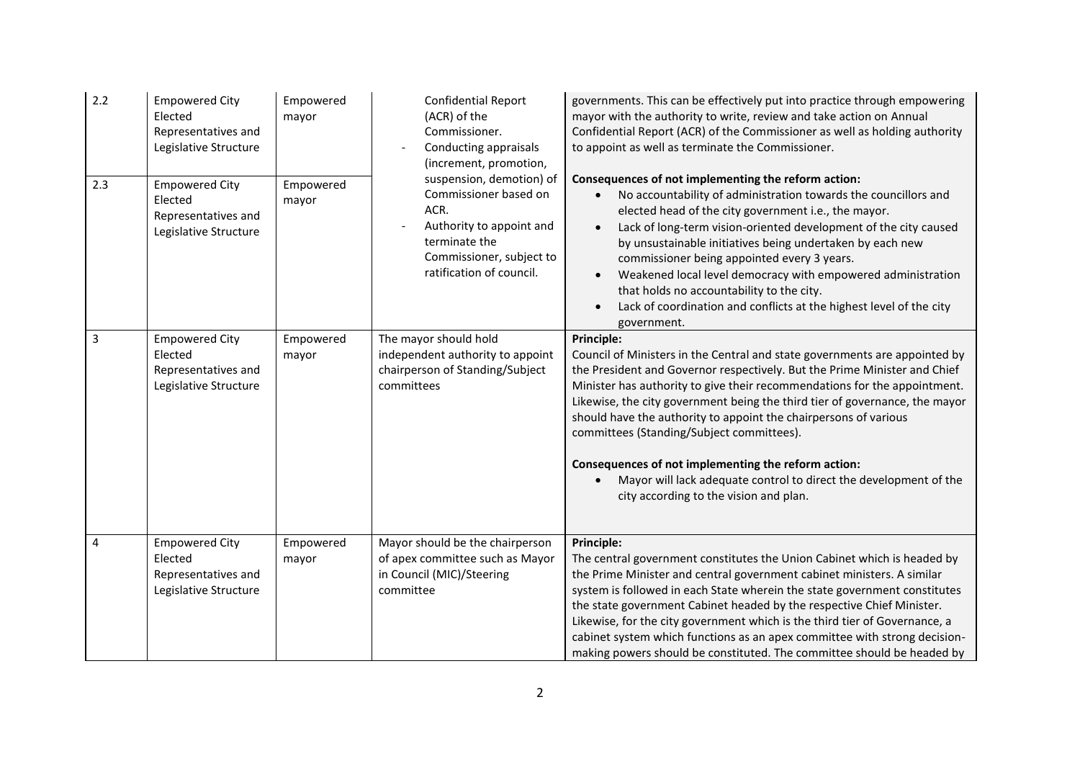| 2.2 | <b>Empowered City</b><br>Elected<br>Representatives and<br>Legislative Structure | Empowered<br>mayor | <b>Confidential Report</b><br>(ACR) of the<br>Commissioner.<br>Conducting appraisals<br>(increment, promotion,                                                 | governments. This can be effectively put into practice through empowering<br>mayor with the authority to write, review and take action on Annual<br>Confidential Report (ACR) of the Commissioner as well as holding authority<br>to appoint as well as terminate the Commissioner.                                                                                                                                                                                                                                                                                                                                             |
|-----|----------------------------------------------------------------------------------|--------------------|----------------------------------------------------------------------------------------------------------------------------------------------------------------|---------------------------------------------------------------------------------------------------------------------------------------------------------------------------------------------------------------------------------------------------------------------------------------------------------------------------------------------------------------------------------------------------------------------------------------------------------------------------------------------------------------------------------------------------------------------------------------------------------------------------------|
| 2.3 | <b>Empowered City</b><br>Elected<br>Representatives and<br>Legislative Structure | Empowered<br>mayor | suspension, demotion) of<br>Commissioner based on<br>ACR.<br>Authority to appoint and<br>terminate the<br>Commissioner, subject to<br>ratification of council. | Consequences of not implementing the reform action:<br>No accountability of administration towards the councillors and<br>elected head of the city government i.e., the mayor.<br>Lack of long-term vision-oriented development of the city caused<br>by unsustainable initiatives being undertaken by each new<br>commissioner being appointed every 3 years.<br>Weakened local level democracy with empowered administration<br>that holds no accountability to the city.<br>Lack of coordination and conflicts at the highest level of the city<br>government.                                                               |
| 3   | <b>Empowered City</b><br>Elected<br>Representatives and<br>Legislative Structure | Empowered<br>mayor | The mayor should hold<br>independent authority to appoint<br>chairperson of Standing/Subject<br>committees                                                     | <b>Principle:</b><br>Council of Ministers in the Central and state governments are appointed by<br>the President and Governor respectively. But the Prime Minister and Chief<br>Minister has authority to give their recommendations for the appointment.<br>Likewise, the city government being the third tier of governance, the mayor<br>should have the authority to appoint the chairpersons of various<br>committees (Standing/Subject committees).<br>Consequences of not implementing the reform action:<br>Mayor will lack adequate control to direct the development of the<br>city according to the vision and plan. |
| 4   | <b>Empowered City</b><br>Elected<br>Representatives and<br>Legislative Structure | Empowered<br>mayor | Mayor should be the chairperson<br>of apex committee such as Mayor<br>in Council (MIC)/Steering<br>committee                                                   | Principle:<br>The central government constitutes the Union Cabinet which is headed by<br>the Prime Minister and central government cabinet ministers. A similar<br>system is followed in each State wherein the state government constitutes<br>the state government Cabinet headed by the respective Chief Minister.<br>Likewise, for the city government which is the third tier of Governance, a<br>cabinet system which functions as an apex committee with strong decision-<br>making powers should be constituted. The committee should be headed by                                                                      |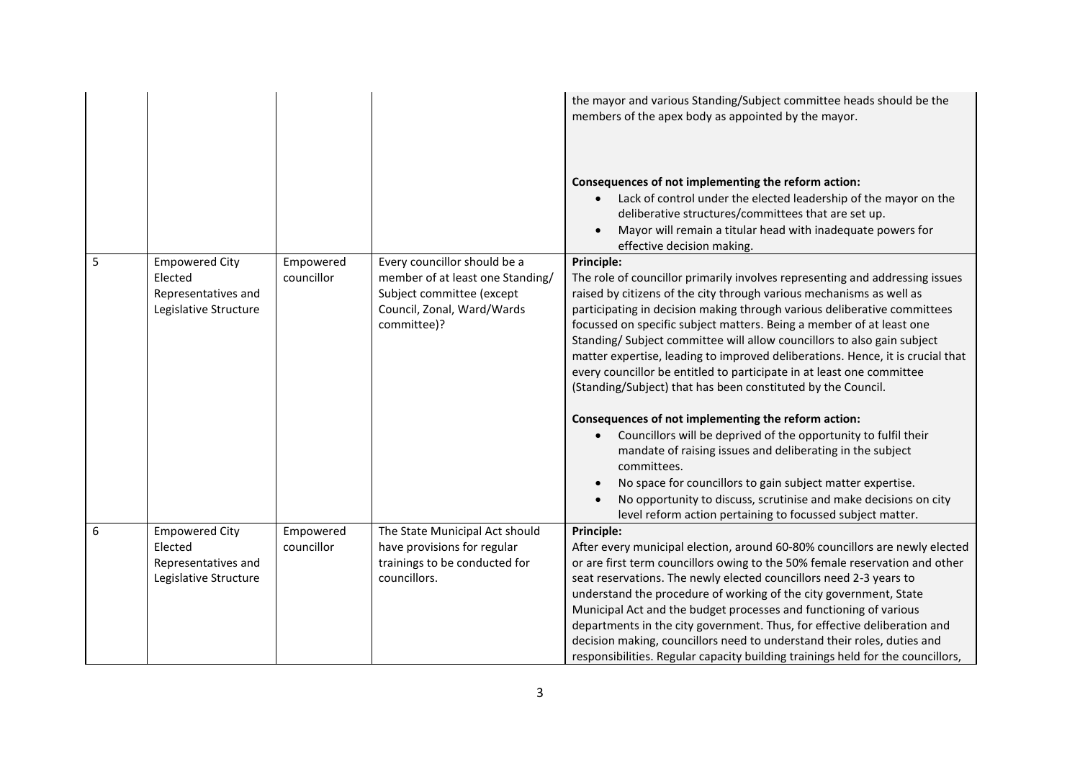|   |                                                                                  |                         |                                                                                                                                            | the mayor and various Standing/Subject committee heads should be the<br>members of the apex body as appointed by the mayor.<br>Consequences of not implementing the reform action:<br>Lack of control under the elected leadership of the mayor on the<br>deliberative structures/committees that are set up.<br>Mayor will remain a titular head with inadequate powers for<br>effective decision making.                                                                                                                                                                                                                                                                                                                                                                                                                                                                                                                                                                                                                         |
|---|----------------------------------------------------------------------------------|-------------------------|--------------------------------------------------------------------------------------------------------------------------------------------|------------------------------------------------------------------------------------------------------------------------------------------------------------------------------------------------------------------------------------------------------------------------------------------------------------------------------------------------------------------------------------------------------------------------------------------------------------------------------------------------------------------------------------------------------------------------------------------------------------------------------------------------------------------------------------------------------------------------------------------------------------------------------------------------------------------------------------------------------------------------------------------------------------------------------------------------------------------------------------------------------------------------------------|
| 5 | <b>Empowered City</b><br>Elected<br>Representatives and<br>Legislative Structure | Empowered<br>councillor | Every councillor should be a<br>member of at least one Standing/<br>Subject committee (except<br>Council, Zonal, Ward/Wards<br>committee)? | Principle:<br>The role of councillor primarily involves representing and addressing issues<br>raised by citizens of the city through various mechanisms as well as<br>participating in decision making through various deliberative committees<br>focussed on specific subject matters. Being a member of at least one<br>Standing/ Subject committee will allow councillors to also gain subject<br>matter expertise, leading to improved deliberations. Hence, it is crucial that<br>every councillor be entitled to participate in at least one committee<br>(Standing/Subject) that has been constituted by the Council.<br>Consequences of not implementing the reform action:<br>Councillors will be deprived of the opportunity to fulfil their<br>mandate of raising issues and deliberating in the subject<br>committees.<br>No space for councillors to gain subject matter expertise.<br>No opportunity to discuss, scrutinise and make decisions on city<br>level reform action pertaining to focussed subject matter. |
| 6 | <b>Empowered City</b><br>Elected<br>Representatives and<br>Legislative Structure | Empowered<br>councillor | The State Municipal Act should<br>have provisions for regular<br>trainings to be conducted for<br>councillors.                             | Principle:<br>After every municipal election, around 60-80% councillors are newly elected<br>or are first term councillors owing to the 50% female reservation and other<br>seat reservations. The newly elected councillors need 2-3 years to<br>understand the procedure of working of the city government, State<br>Municipal Act and the budget processes and functioning of various<br>departments in the city government. Thus, for effective deliberation and<br>decision making, councillors need to understand their roles, duties and<br>responsibilities. Regular capacity building trainings held for the councillors,                                                                                                                                                                                                                                                                                                                                                                                                 |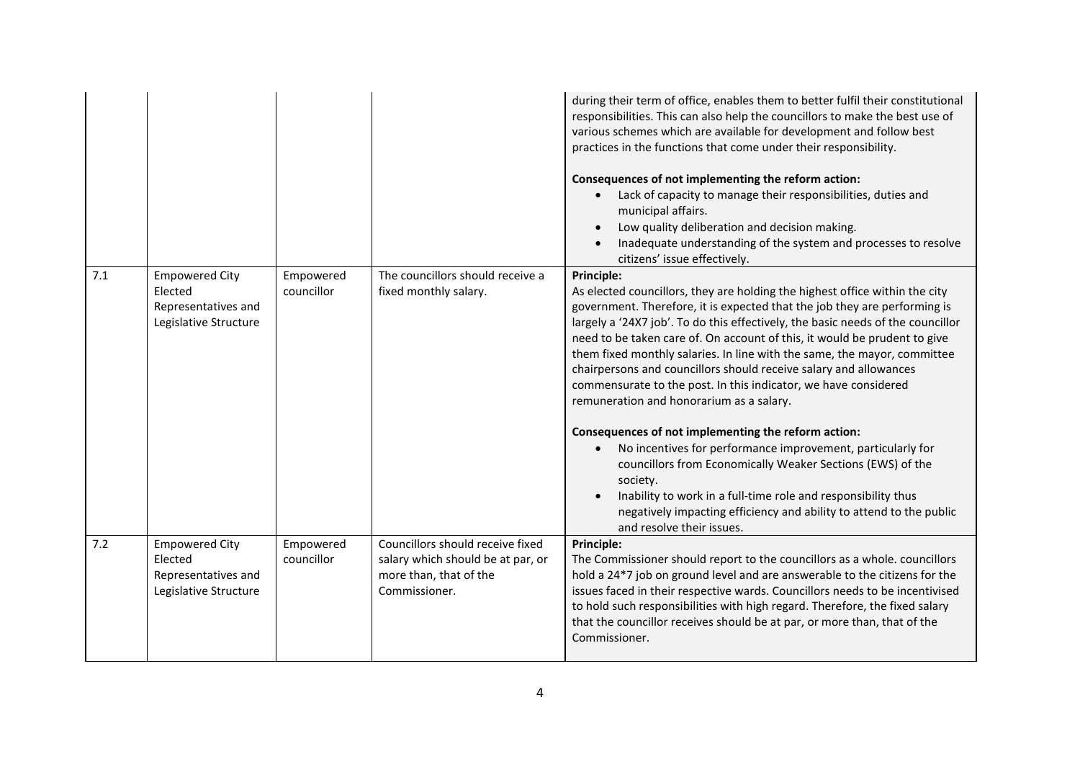|     |                                                                                  |                         |                                                                                                                  | during their term of office, enables them to better fulfil their constitutional<br>responsibilities. This can also help the councillors to make the best use of<br>various schemes which are available for development and follow best<br>practices in the functions that come under their responsibility.<br>Consequences of not implementing the reform action:<br>Lack of capacity to manage their responsibilities, duties and<br>municipal affairs.<br>Low quality deliberation and decision making.<br>Inadequate understanding of the system and processes to resolve<br>citizens' issue effectively.                                                                                                                                                                                                                                                                                                                                                                |
|-----|----------------------------------------------------------------------------------|-------------------------|------------------------------------------------------------------------------------------------------------------|-----------------------------------------------------------------------------------------------------------------------------------------------------------------------------------------------------------------------------------------------------------------------------------------------------------------------------------------------------------------------------------------------------------------------------------------------------------------------------------------------------------------------------------------------------------------------------------------------------------------------------------------------------------------------------------------------------------------------------------------------------------------------------------------------------------------------------------------------------------------------------------------------------------------------------------------------------------------------------|
| 7.1 | <b>Empowered City</b><br>Elected<br>Representatives and<br>Legislative Structure | Empowered<br>councillor | The councillors should receive a<br>fixed monthly salary.                                                        | Principle:<br>As elected councillors, they are holding the highest office within the city<br>government. Therefore, it is expected that the job they are performing is<br>largely a '24X7 job'. To do this effectively, the basic needs of the councillor<br>need to be taken care of. On account of this, it would be prudent to give<br>them fixed monthly salaries. In line with the same, the mayor, committee<br>chairpersons and councillors should receive salary and allowances<br>commensurate to the post. In this indicator, we have considered<br>remuneration and honorarium as a salary.<br>Consequences of not implementing the reform action:<br>No incentives for performance improvement, particularly for<br>councillors from Economically Weaker Sections (EWS) of the<br>society.<br>Inability to work in a full-time role and responsibility thus<br>negatively impacting efficiency and ability to attend to the public<br>and resolve their issues. |
| 7.2 | <b>Empowered City</b><br>Elected<br>Representatives and<br>Legislative Structure | Empowered<br>councillor | Councillors should receive fixed<br>salary which should be at par, or<br>more than, that of the<br>Commissioner. | Principle:<br>The Commissioner should report to the councillors as a whole. councillors<br>hold a 24*7 job on ground level and are answerable to the citizens for the<br>issues faced in their respective wards. Councillors needs to be incentivised<br>to hold such responsibilities with high regard. Therefore, the fixed salary<br>that the councillor receives should be at par, or more than, that of the<br>Commissioner.                                                                                                                                                                                                                                                                                                                                                                                                                                                                                                                                           |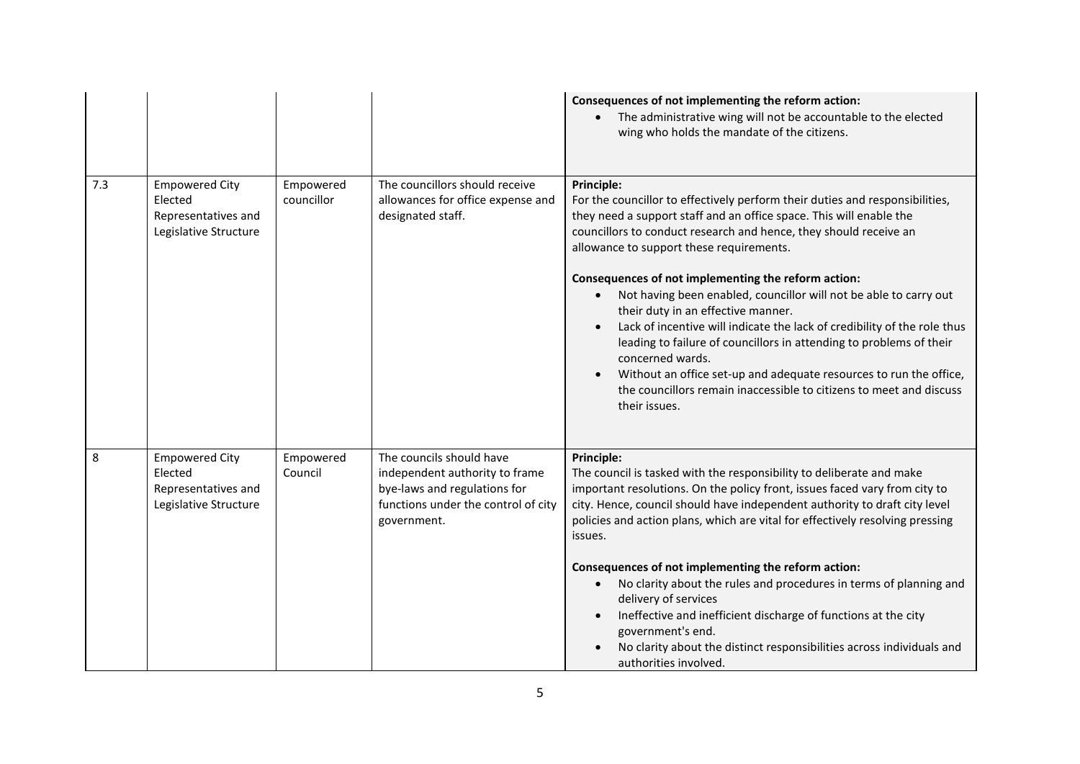|     |                                                                                  |                         |                                                                                                                                                  | Consequences of not implementing the reform action:<br>The administrative wing will not be accountable to the elected<br>wing who holds the mandate of the citizens.                                                                                                                                                                                                                                                                                                                                                                                                                                                                                                                                                                                                                      |
|-----|----------------------------------------------------------------------------------|-------------------------|--------------------------------------------------------------------------------------------------------------------------------------------------|-------------------------------------------------------------------------------------------------------------------------------------------------------------------------------------------------------------------------------------------------------------------------------------------------------------------------------------------------------------------------------------------------------------------------------------------------------------------------------------------------------------------------------------------------------------------------------------------------------------------------------------------------------------------------------------------------------------------------------------------------------------------------------------------|
| 7.3 | <b>Empowered City</b><br>Elected<br>Representatives and<br>Legislative Structure | Empowered<br>councillor | The councillors should receive<br>allowances for office expense and<br>designated staff.                                                         | Principle:<br>For the councillor to effectively perform their duties and responsibilities,<br>they need a support staff and an office space. This will enable the<br>councillors to conduct research and hence, they should receive an<br>allowance to support these requirements.<br>Consequences of not implementing the reform action:<br>Not having been enabled, councillor will not be able to carry out<br>their duty in an effective manner.<br>Lack of incentive will indicate the lack of credibility of the role thus<br>leading to failure of councillors in attending to problems of their<br>concerned wards.<br>Without an office set-up and adequate resources to run the office,<br>the councillors remain inaccessible to citizens to meet and discuss<br>their issues. |
| 8   | <b>Empowered City</b><br>Elected<br>Representatives and<br>Legislative Structure | Empowered<br>Council    | The councils should have<br>independent authority to frame<br>bye-laws and regulations for<br>functions under the control of city<br>government. | Principle:<br>The council is tasked with the responsibility to deliberate and make<br>important resolutions. On the policy front, issues faced vary from city to<br>city. Hence, council should have independent authority to draft city level<br>policies and action plans, which are vital for effectively resolving pressing<br>issues.<br>Consequences of not implementing the reform action:<br>No clarity about the rules and procedures in terms of planning and<br>$\bullet$<br>delivery of services<br>Ineffective and inefficient discharge of functions at the city<br>government's end.<br>No clarity about the distinct responsibilities across individuals and<br>authorities involved.                                                                                     |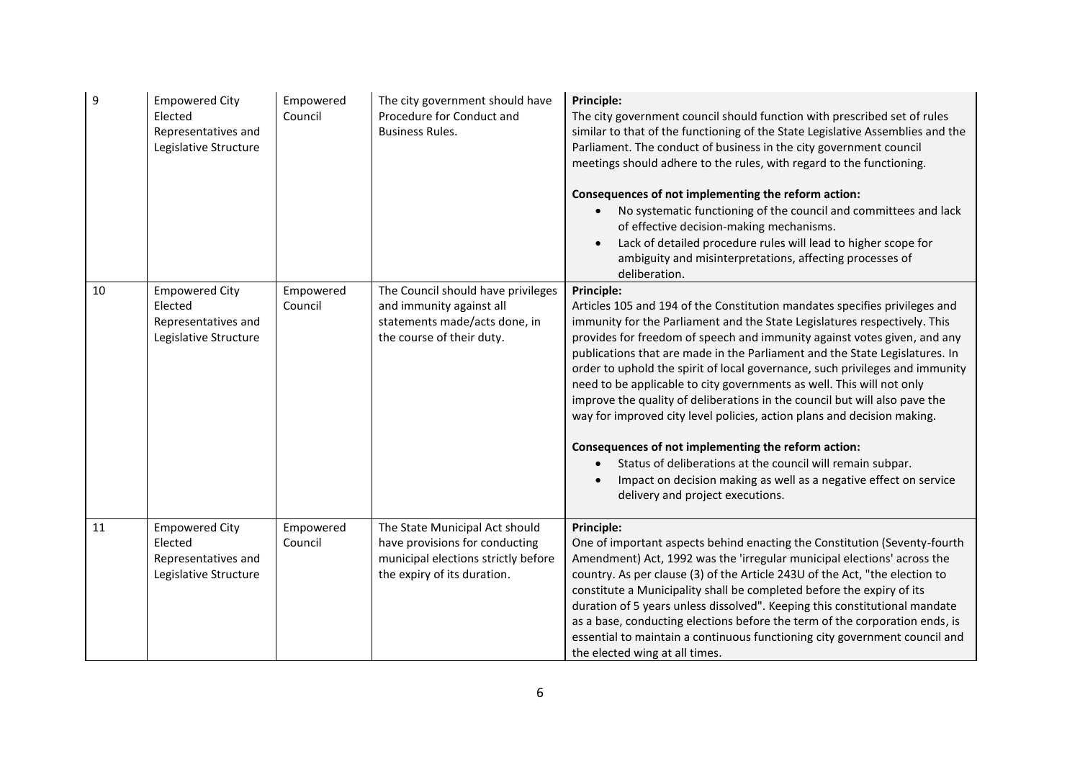| 9  | <b>Empowered City</b><br>Elected<br>Representatives and<br>Legislative Structure | Empowered<br>Council | The city government should have<br>Procedure for Conduct and<br><b>Business Rules.</b>                                                 | Principle:<br>The city government council should function with prescribed set of rules<br>similar to that of the functioning of the State Legislative Assemblies and the<br>Parliament. The conduct of business in the city government council<br>meetings should adhere to the rules, with regard to the functioning.<br>Consequences of not implementing the reform action:<br>No systematic functioning of the council and committees and lack<br>of effective decision-making mechanisms.<br>Lack of detailed procedure rules will lead to higher scope for<br>ambiguity and misinterpretations, affecting processes of<br>deliberation.                                                                                                                                                                                                                                     |
|----|----------------------------------------------------------------------------------|----------------------|----------------------------------------------------------------------------------------------------------------------------------------|----------------------------------------------------------------------------------------------------------------------------------------------------------------------------------------------------------------------------------------------------------------------------------------------------------------------------------------------------------------------------------------------------------------------------------------------------------------------------------------------------------------------------------------------------------------------------------------------------------------------------------------------------------------------------------------------------------------------------------------------------------------------------------------------------------------------------------------------------------------------------------|
| 10 | <b>Empowered City</b><br>Elected<br>Representatives and<br>Legislative Structure | Empowered<br>Council | The Council should have privileges<br>and immunity against all<br>statements made/acts done, in<br>the course of their duty.           | Principle:<br>Articles 105 and 194 of the Constitution mandates specifies privileges and<br>immunity for the Parliament and the State Legislatures respectively. This<br>provides for freedom of speech and immunity against votes given, and any<br>publications that are made in the Parliament and the State Legislatures. In<br>order to uphold the spirit of local governance, such privileges and immunity<br>need to be applicable to city governments as well. This will not only<br>improve the quality of deliberations in the council but will also pave the<br>way for improved city level policies, action plans and decision making.<br>Consequences of not implementing the reform action:<br>Status of deliberations at the council will remain subpar.<br>Impact on decision making as well as a negative effect on service<br>delivery and project executions. |
| 11 | <b>Empowered City</b><br>Elected<br>Representatives and<br>Legislative Structure | Empowered<br>Council | The State Municipal Act should<br>have provisions for conducting<br>municipal elections strictly before<br>the expiry of its duration. | Principle:<br>One of important aspects behind enacting the Constitution (Seventy-fourth<br>Amendment) Act, 1992 was the 'irregular municipal elections' across the<br>country. As per clause (3) of the Article 243U of the Act, "the election to<br>constitute a Municipality shall be completed before the expiry of its<br>duration of 5 years unless dissolved". Keeping this constitutional mandate<br>as a base, conducting elections before the term of the corporation ends, is<br>essential to maintain a continuous functioning city government council and<br>the elected wing at all times.                                                                                                                                                                                                                                                                          |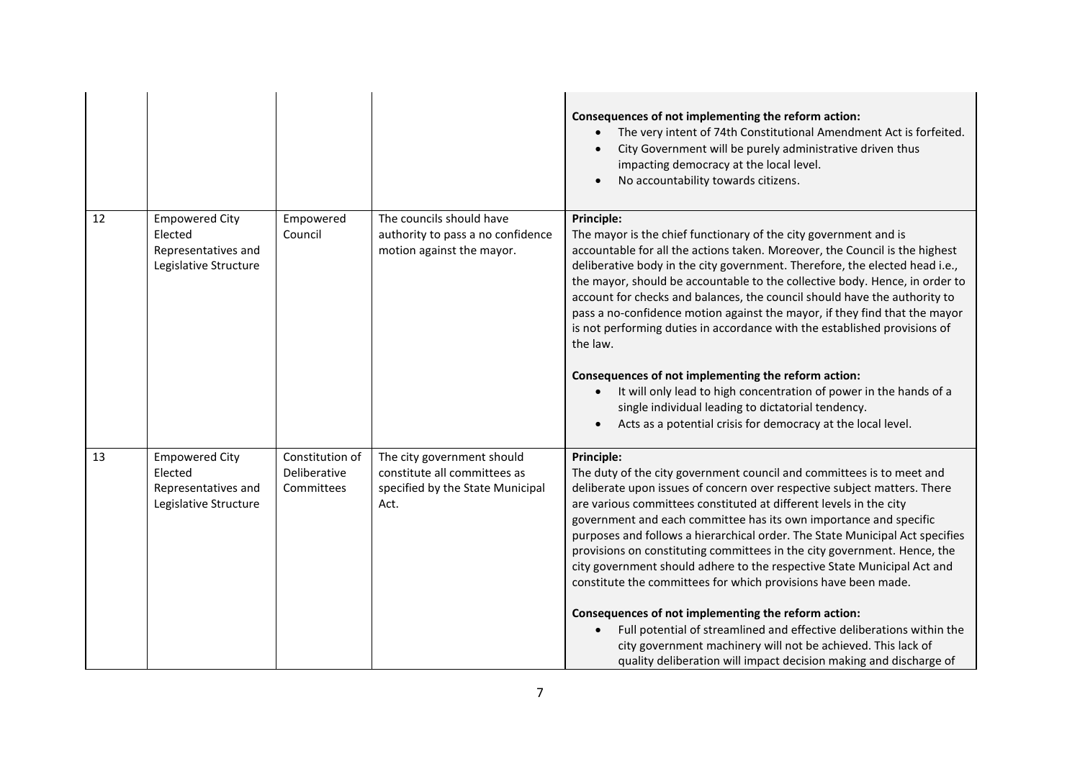|    |                                                                                  |                                               |                                                                                                        | Consequences of not implementing the reform action:<br>The very intent of 74th Constitutional Amendment Act is forfeited.<br>City Government will be purely administrative driven thus<br>impacting democracy at the local level.<br>No accountability towards citizens.                                                                                                                                                                                                                                                                                                                                                                                                                                                                                                                                                                                                                                    |
|----|----------------------------------------------------------------------------------|-----------------------------------------------|--------------------------------------------------------------------------------------------------------|-------------------------------------------------------------------------------------------------------------------------------------------------------------------------------------------------------------------------------------------------------------------------------------------------------------------------------------------------------------------------------------------------------------------------------------------------------------------------------------------------------------------------------------------------------------------------------------------------------------------------------------------------------------------------------------------------------------------------------------------------------------------------------------------------------------------------------------------------------------------------------------------------------------|
| 12 | <b>Empowered City</b><br>Elected<br>Representatives and<br>Legislative Structure | Empowered<br>Council                          | The councils should have<br>authority to pass a no confidence<br>motion against the mayor.             | <b>Principle:</b><br>The mayor is the chief functionary of the city government and is<br>accountable for all the actions taken. Moreover, the Council is the highest<br>deliberative body in the city government. Therefore, the elected head i.e.,<br>the mayor, should be accountable to the collective body. Hence, in order to<br>account for checks and balances, the council should have the authority to<br>pass a no-confidence motion against the mayor, if they find that the mayor<br>is not performing duties in accordance with the established provisions of<br>the law.<br>Consequences of not implementing the reform action:<br>It will only lead to high concentration of power in the hands of a<br>single individual leading to dictatorial tendency.<br>Acts as a potential crisis for democracy at the local level.                                                                   |
| 13 | <b>Empowered City</b><br>Elected<br>Representatives and<br>Legislative Structure | Constitution of<br>Deliberative<br>Committees | The city government should<br>constitute all committees as<br>specified by the State Municipal<br>Act. | <b>Principle:</b><br>The duty of the city government council and committees is to meet and<br>deliberate upon issues of concern over respective subject matters. There<br>are various committees constituted at different levels in the city<br>government and each committee has its own importance and specific<br>purposes and follows a hierarchical order. The State Municipal Act specifies<br>provisions on constituting committees in the city government. Hence, the<br>city government should adhere to the respective State Municipal Act and<br>constitute the committees for which provisions have been made.<br>Consequences of not implementing the reform action:<br>Full potential of streamlined and effective deliberations within the<br>$\bullet$<br>city government machinery will not be achieved. This lack of<br>quality deliberation will impact decision making and discharge of |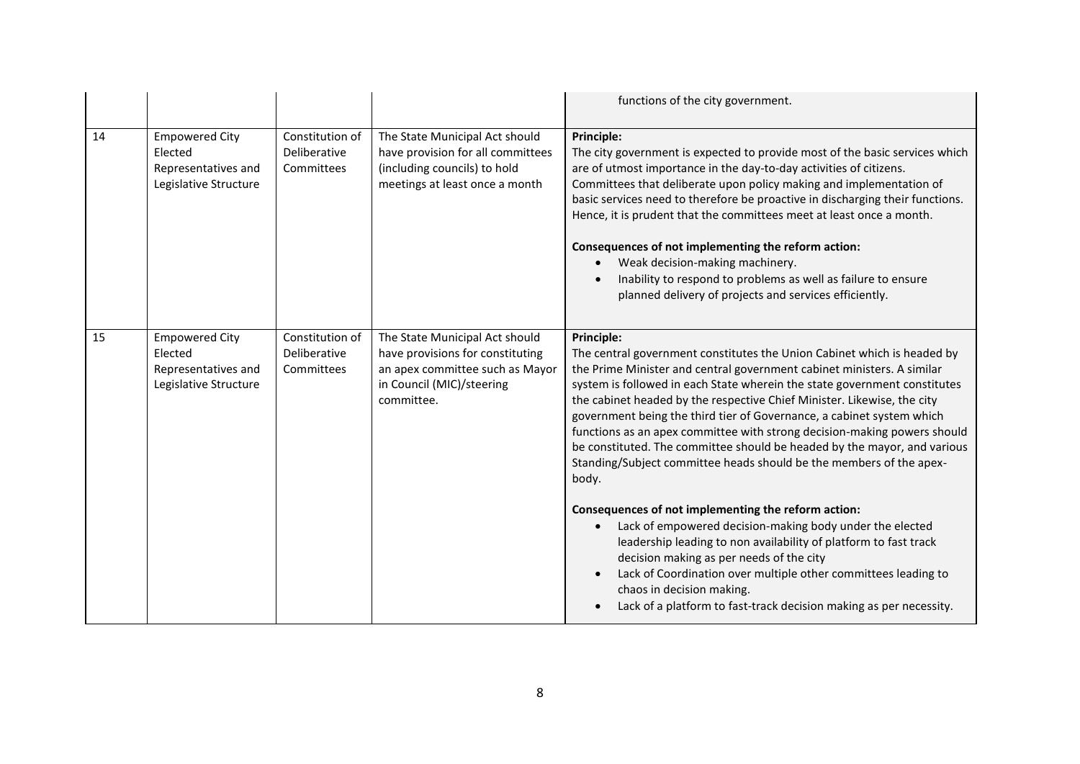|    |                                                                                  |                                               |                                                                                                                                                  | functions of the city government.                                                                                                                                                                                                                                                                                                                                                                                                                                                                                                                                                                                                                                                                                                                                                                                                                                                                                                                                                                                                                       |
|----|----------------------------------------------------------------------------------|-----------------------------------------------|--------------------------------------------------------------------------------------------------------------------------------------------------|---------------------------------------------------------------------------------------------------------------------------------------------------------------------------------------------------------------------------------------------------------------------------------------------------------------------------------------------------------------------------------------------------------------------------------------------------------------------------------------------------------------------------------------------------------------------------------------------------------------------------------------------------------------------------------------------------------------------------------------------------------------------------------------------------------------------------------------------------------------------------------------------------------------------------------------------------------------------------------------------------------------------------------------------------------|
| 14 | <b>Empowered City</b><br>Elected<br>Representatives and<br>Legislative Structure | Constitution of<br>Deliberative<br>Committees | The State Municipal Act should<br>have provision for all committees<br>(including councils) to hold<br>meetings at least once a month            | Principle:<br>The city government is expected to provide most of the basic services which<br>are of utmost importance in the day-to-day activities of citizens.<br>Committees that deliberate upon policy making and implementation of<br>basic services need to therefore be proactive in discharging their functions.<br>Hence, it is prudent that the committees meet at least once a month.<br>Consequences of not implementing the reform action:<br>Weak decision-making machinery.<br>Inability to respond to problems as well as failure to ensure<br>planned delivery of projects and services efficiently.                                                                                                                                                                                                                                                                                                                                                                                                                                    |
| 15 | <b>Empowered City</b><br>Elected<br>Representatives and<br>Legislative Structure | Constitution of<br>Deliberative<br>Committees | The State Municipal Act should<br>have provisions for constituting<br>an apex committee such as Mayor<br>in Council (MIC)/steering<br>committee. | <b>Principle:</b><br>The central government constitutes the Union Cabinet which is headed by<br>the Prime Minister and central government cabinet ministers. A similar<br>system is followed in each State wherein the state government constitutes<br>the cabinet headed by the respective Chief Minister. Likewise, the city<br>government being the third tier of Governance, a cabinet system which<br>functions as an apex committee with strong decision-making powers should<br>be constituted. The committee should be headed by the mayor, and various<br>Standing/Subject committee heads should be the members of the apex-<br>body.<br>Consequences of not implementing the reform action:<br>Lack of empowered decision-making body under the elected<br>leadership leading to non availability of platform to fast track<br>decision making as per needs of the city<br>Lack of Coordination over multiple other committees leading to<br>chaos in decision making.<br>Lack of a platform to fast-track decision making as per necessity. |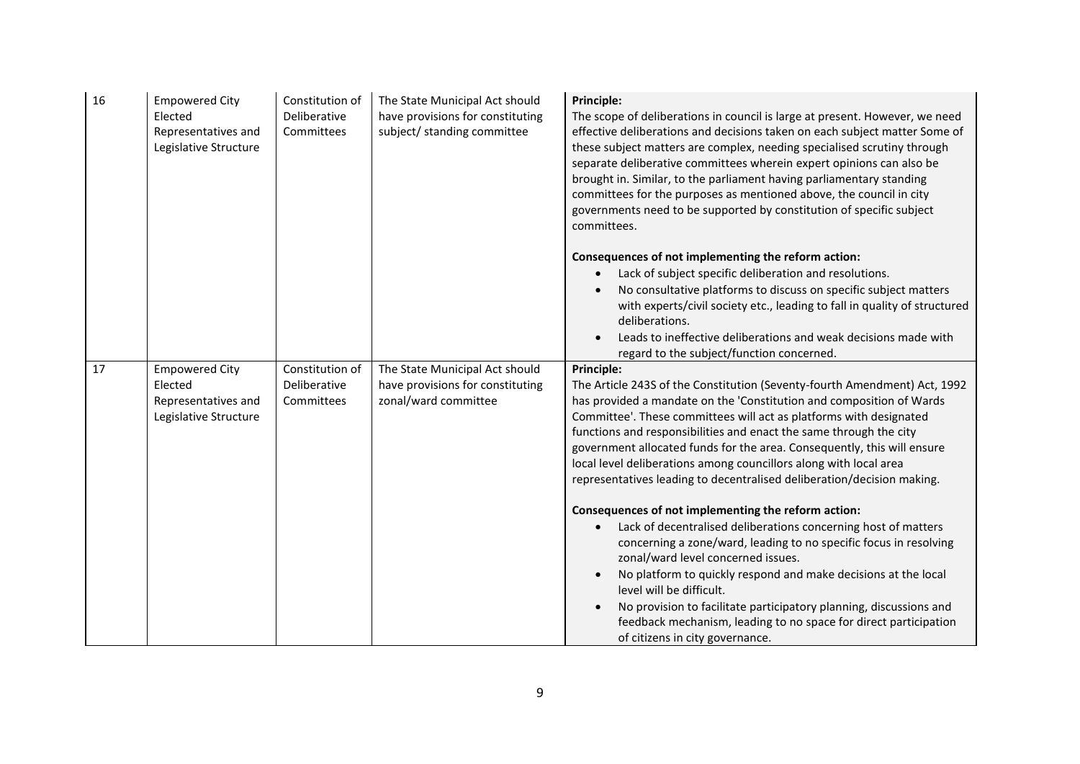| 16 | <b>Empowered City</b><br>Elected<br>Representatives and<br>Legislative Structure | Constitution of<br>Deliberative<br>Committees | The State Municipal Act should<br>have provisions for constituting<br>subject/ standing committee | <b>Principle:</b><br>The scope of deliberations in council is large at present. However, we need<br>effective deliberations and decisions taken on each subject matter Some of<br>these subject matters are complex, needing specialised scrutiny through<br>separate deliberative committees wherein expert opinions can also be<br>brought in. Similar, to the parliament having parliamentary standing<br>committees for the purposes as mentioned above, the council in city<br>governments need to be supported by constitution of specific subject<br>committees.                                                                                                                                                                                                                                                                                                                                                                                                                                                                              |
|----|----------------------------------------------------------------------------------|-----------------------------------------------|---------------------------------------------------------------------------------------------------|------------------------------------------------------------------------------------------------------------------------------------------------------------------------------------------------------------------------------------------------------------------------------------------------------------------------------------------------------------------------------------------------------------------------------------------------------------------------------------------------------------------------------------------------------------------------------------------------------------------------------------------------------------------------------------------------------------------------------------------------------------------------------------------------------------------------------------------------------------------------------------------------------------------------------------------------------------------------------------------------------------------------------------------------------|
|    |                                                                                  |                                               |                                                                                                   | Consequences of not implementing the reform action:<br>Lack of subject specific deliberation and resolutions.<br>No consultative platforms to discuss on specific subject matters<br>with experts/civil society etc., leading to fall in quality of structured<br>deliberations.<br>Leads to ineffective deliberations and weak decisions made with<br>regard to the subject/function concerned.                                                                                                                                                                                                                                                                                                                                                                                                                                                                                                                                                                                                                                                     |
| 17 | <b>Empowered City</b><br>Elected<br>Representatives and<br>Legislative Structure | Constitution of<br>Deliberative<br>Committees | The State Municipal Act should<br>have provisions for constituting<br>zonal/ward committee        | Principle:<br>The Article 243S of the Constitution (Seventy-fourth Amendment) Act, 1992<br>has provided a mandate on the 'Constitution and composition of Wards<br>Committee'. These committees will act as platforms with designated<br>functions and responsibilities and enact the same through the city<br>government allocated funds for the area. Consequently, this will ensure<br>local level deliberations among councillors along with local area<br>representatives leading to decentralised deliberation/decision making.<br>Consequences of not implementing the reform action:<br>Lack of decentralised deliberations concerning host of matters<br>concerning a zone/ward, leading to no specific focus in resolving<br>zonal/ward level concerned issues.<br>No platform to quickly respond and make decisions at the local<br>level will be difficult.<br>No provision to facilitate participatory planning, discussions and<br>feedback mechanism, leading to no space for direct participation<br>of citizens in city governance. |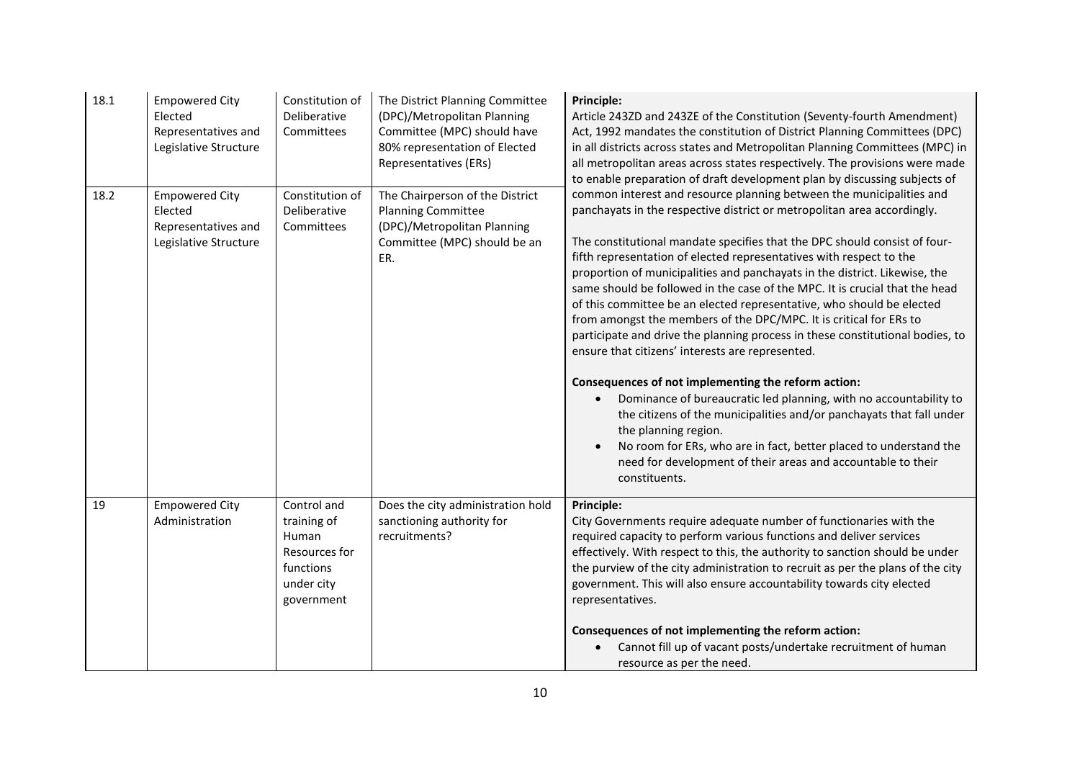| 18.1 | <b>Empowered City</b><br>Elected<br>Representatives and<br>Legislative Structure | Constitution of<br>Deliberative<br>Committees                                                 | The District Planning Committee<br>(DPC)/Metropolitan Planning<br>Committee (MPC) should have<br>80% representation of Elected<br>Representatives (ERs) | <b>Principle:</b><br>Article 243ZD and 243ZE of the Constitution (Seventy-fourth Amendment)<br>Act, 1992 mandates the constitution of District Planning Committees (DPC)<br>in all districts across states and Metropolitan Planning Committees (MPC) in<br>all metropolitan areas across states respectively. The provisions were made<br>to enable preparation of draft development plan by discussing subjects of                                                                                                                                                                                                                                                                                                                                                                                                                                                                                                                                                                                                                                                                                                                   |
|------|----------------------------------------------------------------------------------|-----------------------------------------------------------------------------------------------|---------------------------------------------------------------------------------------------------------------------------------------------------------|----------------------------------------------------------------------------------------------------------------------------------------------------------------------------------------------------------------------------------------------------------------------------------------------------------------------------------------------------------------------------------------------------------------------------------------------------------------------------------------------------------------------------------------------------------------------------------------------------------------------------------------------------------------------------------------------------------------------------------------------------------------------------------------------------------------------------------------------------------------------------------------------------------------------------------------------------------------------------------------------------------------------------------------------------------------------------------------------------------------------------------------|
| 18.2 | <b>Empowered City</b><br>Elected<br>Representatives and<br>Legislative Structure | Constitution of<br>Deliberative<br>Committees                                                 | The Chairperson of the District<br><b>Planning Committee</b><br>(DPC)/Metropolitan Planning<br>Committee (MPC) should be an<br>ER.                      | common interest and resource planning between the municipalities and<br>panchayats in the respective district or metropolitan area accordingly.<br>The constitutional mandate specifies that the DPC should consist of four-<br>fifth representation of elected representatives with respect to the<br>proportion of municipalities and panchayats in the district. Likewise, the<br>same should be followed in the case of the MPC. It is crucial that the head<br>of this committee be an elected representative, who should be elected<br>from amongst the members of the DPC/MPC. It is critical for ERs to<br>participate and drive the planning process in these constitutional bodies, to<br>ensure that citizens' interests are represented.<br>Consequences of not implementing the reform action:<br>Dominance of bureaucratic led planning, with no accountability to<br>the citizens of the municipalities and/or panchayats that fall under<br>the planning region.<br>No room for ERs, who are in fact, better placed to understand the<br>need for development of their areas and accountable to their<br>constituents. |
| 19   | <b>Empowered City</b><br>Administration                                          | Control and<br>training of<br>Human<br>Resources for<br>functions<br>under city<br>government | Does the city administration hold<br>sanctioning authority for<br>recruitments?                                                                         | Principle:<br>City Governments require adequate number of functionaries with the<br>required capacity to perform various functions and deliver services<br>effectively. With respect to this, the authority to sanction should be under<br>the purview of the city administration to recruit as per the plans of the city<br>government. This will also ensure accountability towards city elected<br>representatives.<br>Consequences of not implementing the reform action:<br>Cannot fill up of vacant posts/undertake recruitment of human<br>resource as per the need.                                                                                                                                                                                                                                                                                                                                                                                                                                                                                                                                                            |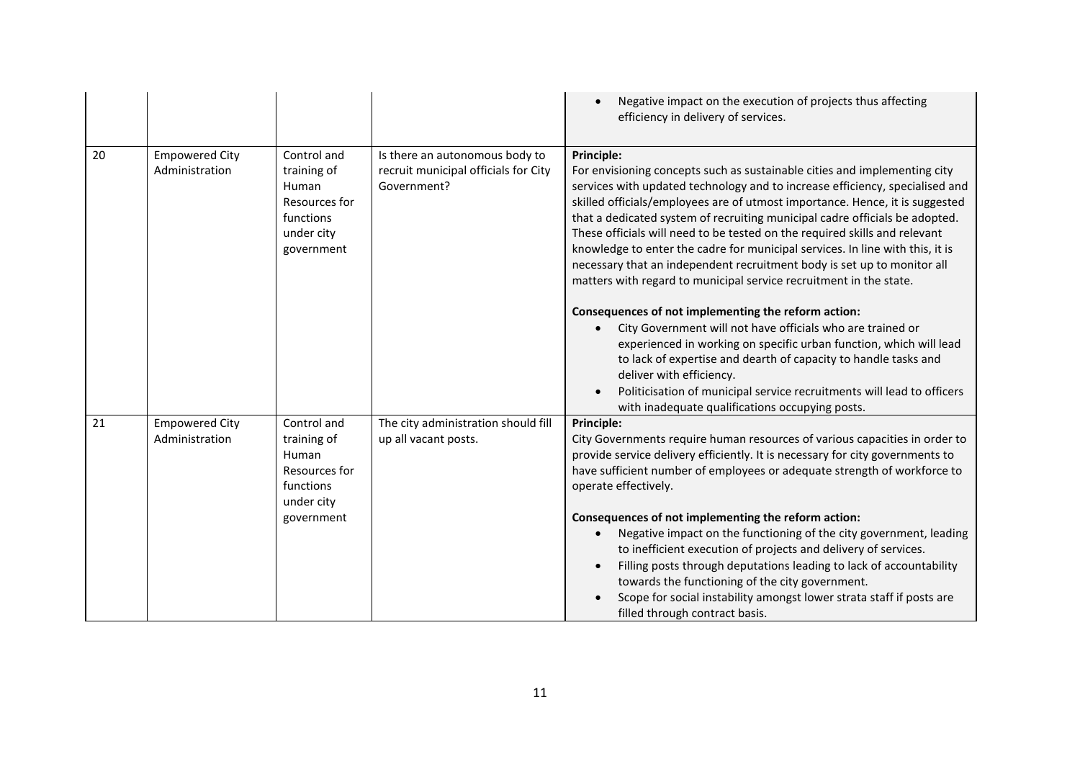|    |                                         |                                                                                               |                                                                                       | Negative impact on the execution of projects thus affecting<br>efficiency in delivery of services.                                                                                                                                                                                                                                                                                                                                                                                                                                                                                                                                                                                                                      |
|----|-----------------------------------------|-----------------------------------------------------------------------------------------------|---------------------------------------------------------------------------------------|-------------------------------------------------------------------------------------------------------------------------------------------------------------------------------------------------------------------------------------------------------------------------------------------------------------------------------------------------------------------------------------------------------------------------------------------------------------------------------------------------------------------------------------------------------------------------------------------------------------------------------------------------------------------------------------------------------------------------|
| 20 | <b>Empowered City</b><br>Administration | Control and<br>training of<br>Human<br>Resources for<br>functions<br>under city<br>government | Is there an autonomous body to<br>recruit municipal officials for City<br>Government? | Principle:<br>For envisioning concepts such as sustainable cities and implementing city<br>services with updated technology and to increase efficiency, specialised and<br>skilled officials/employees are of utmost importance. Hence, it is suggested<br>that a dedicated system of recruiting municipal cadre officials be adopted.<br>These officials will need to be tested on the required skills and relevant<br>knowledge to enter the cadre for municipal services. In line with this, it is<br>necessary that an independent recruitment body is set up to monitor all<br>matters with regard to municipal service recruitment in the state.                                                                  |
|    |                                         |                                                                                               |                                                                                       | Consequences of not implementing the reform action:<br>City Government will not have officials who are trained or<br>$\bullet$<br>experienced in working on specific urban function, which will lead<br>to lack of expertise and dearth of capacity to handle tasks and<br>deliver with efficiency.<br>Politicisation of municipal service recruitments will lead to officers<br>with inadequate qualifications occupying posts.                                                                                                                                                                                                                                                                                        |
| 21 | <b>Empowered City</b><br>Administration | Control and<br>training of<br>Human<br>Resources for<br>functions<br>under city<br>government | The city administration should fill<br>up all vacant posts.                           | <b>Principle:</b><br>City Governments require human resources of various capacities in order to<br>provide service delivery efficiently. It is necessary for city governments to<br>have sufficient number of employees or adequate strength of workforce to<br>operate effectively.<br>Consequences of not implementing the reform action:<br>Negative impact on the functioning of the city government, leading<br>to inefficient execution of projects and delivery of services.<br>Filling posts through deputations leading to lack of accountability<br>towards the functioning of the city government.<br>Scope for social instability amongst lower strata staff if posts are<br>filled through contract basis. |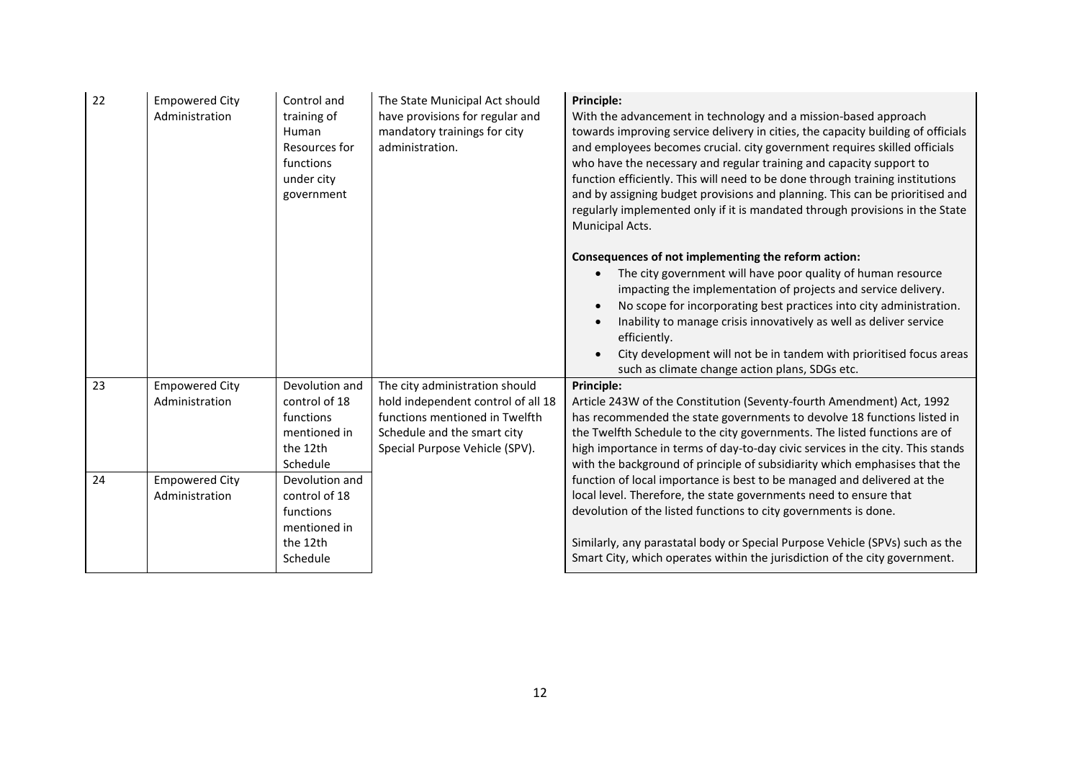| 22 | <b>Empowered City</b><br>Administration | Control and<br>training of<br>Human<br>Resources for<br>functions<br>under city<br>government | The State Municipal Act should<br>have provisions for regular and<br>mandatory trainings for city<br>administration.                                                    | <b>Principle:</b><br>With the advancement in technology and a mission-based approach<br>towards improving service delivery in cities, the capacity building of officials<br>and employees becomes crucial. city government requires skilled officials<br>who have the necessary and regular training and capacity support to<br>function efficiently. This will need to be done through training institutions<br>and by assigning budget provisions and planning. This can be prioritised and<br>regularly implemented only if it is mandated through provisions in the State<br>Municipal Acts. |
|----|-----------------------------------------|-----------------------------------------------------------------------------------------------|-------------------------------------------------------------------------------------------------------------------------------------------------------------------------|--------------------------------------------------------------------------------------------------------------------------------------------------------------------------------------------------------------------------------------------------------------------------------------------------------------------------------------------------------------------------------------------------------------------------------------------------------------------------------------------------------------------------------------------------------------------------------------------------|
|    |                                         |                                                                                               |                                                                                                                                                                         | Consequences of not implementing the reform action:<br>The city government will have poor quality of human resource<br>impacting the implementation of projects and service delivery.<br>No scope for incorporating best practices into city administration.<br>Inability to manage crisis innovatively as well as deliver service<br>efficiently.<br>City development will not be in tandem with prioritised focus areas<br>such as climate change action plans, SDGs etc.                                                                                                                      |
| 23 | <b>Empowered City</b><br>Administration | Devolution and<br>control of 18<br>functions<br>mentioned in<br>the 12th<br>Schedule          | The city administration should<br>hold independent control of all 18<br>functions mentioned in Twelfth<br>Schedule and the smart city<br>Special Purpose Vehicle (SPV). | Principle:<br>Article 243W of the Constitution (Seventy-fourth Amendment) Act, 1992<br>has recommended the state governments to devolve 18 functions listed in<br>the Twelfth Schedule to the city governments. The listed functions are of<br>high importance in terms of day-to-day civic services in the city. This stands<br>with the background of principle of subsidiarity which emphasises that the                                                                                                                                                                                      |
| 24 | <b>Empowered City</b><br>Administration | Devolution and<br>control of 18<br>functions<br>mentioned in<br>the 12th<br>Schedule          |                                                                                                                                                                         | function of local importance is best to be managed and delivered at the<br>local level. Therefore, the state governments need to ensure that<br>devolution of the listed functions to city governments is done.<br>Similarly, any parastatal body or Special Purpose Vehicle (SPVs) such as the<br>Smart City, which operates within the jurisdiction of the city government.                                                                                                                                                                                                                    |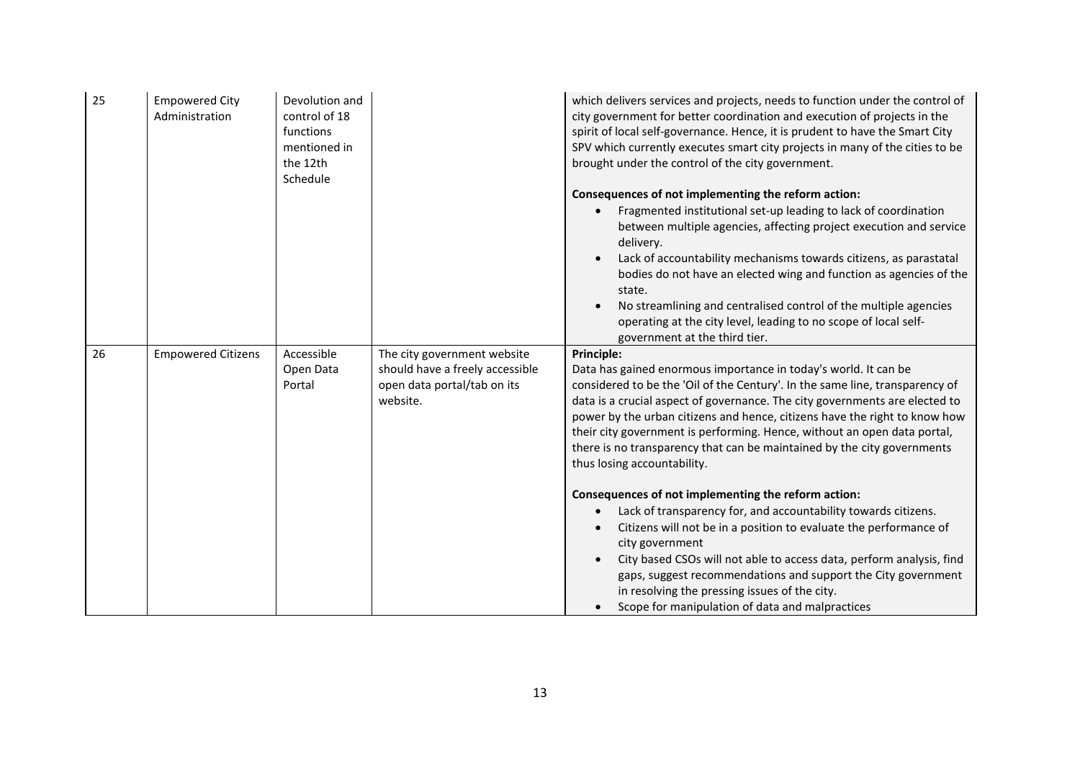| 25 | <b>Empowered City</b><br>Administration | Devolution and<br>control of 18<br>functions<br>mentioned in<br>the 12th<br>Schedule |                                                                                                           | which delivers services and projects, needs to function under the control of<br>city government for better coordination and execution of projects in the<br>spirit of local self-governance. Hence, it is prudent to have the Smart City<br>SPV which currently executes smart city projects in many of the cities to be<br>brought under the control of the city government.<br>Consequences of not implementing the reform action:<br>Fragmented institutional set-up leading to lack of coordination<br>between multiple agencies, affecting project execution and service<br>delivery. |
|----|-----------------------------------------|--------------------------------------------------------------------------------------|-----------------------------------------------------------------------------------------------------------|--------------------------------------------------------------------------------------------------------------------------------------------------------------------------------------------------------------------------------------------------------------------------------------------------------------------------------------------------------------------------------------------------------------------------------------------------------------------------------------------------------------------------------------------------------------------------------------------|
|    |                                         |                                                                                      |                                                                                                           | Lack of accountability mechanisms towards citizens, as parastatal<br>bodies do not have an elected wing and function as agencies of the<br>state.<br>No streamlining and centralised control of the multiple agencies<br>operating at the city level, leading to no scope of local self-<br>government at the third tier.                                                                                                                                                                                                                                                                  |
| 26 | <b>Empowered Citizens</b>               | Accessible<br>Open Data<br>Portal                                                    | The city government website<br>should have a freely accessible<br>open data portal/tab on its<br>website. | Principle:<br>Data has gained enormous importance in today's world. It can be<br>considered to be the 'Oil of the Century'. In the same line, transparency of<br>data is a crucial aspect of governance. The city governments are elected to<br>power by the urban citizens and hence, citizens have the right to know how<br>their city government is performing. Hence, without an open data portal,<br>there is no transparency that can be maintained by the city governments<br>thus losing accountability.                                                                           |
|    |                                         |                                                                                      |                                                                                                           | Consequences of not implementing the reform action:<br>Lack of transparency for, and accountability towards citizens.<br>Citizens will not be in a position to evaluate the performance of<br>city government<br>City based CSOs will not able to access data, perform analysis, find<br>gaps, suggest recommendations and support the City government<br>in resolving the pressing issues of the city.<br>Scope for manipulation of data and malpractices                                                                                                                                 |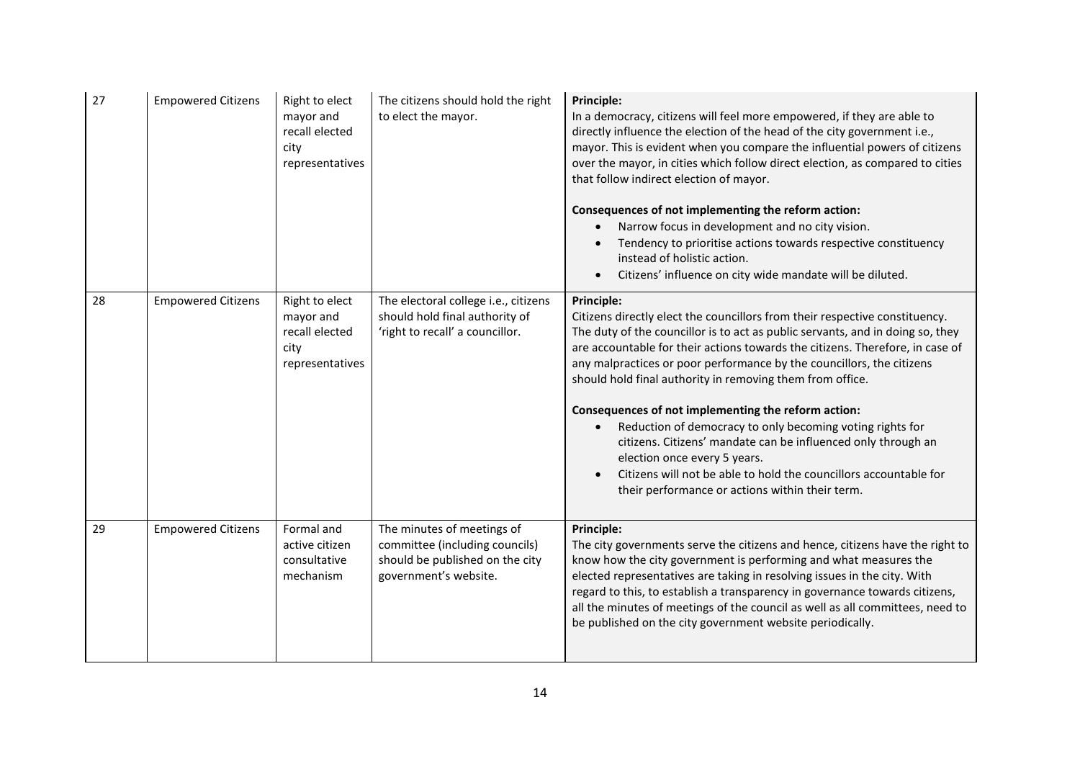| 27 | <b>Empowered Citizens</b> | Right to elect<br>mayor and<br>recall elected<br>city<br>representatives | The citizens should hold the right<br>to elect the mayor.                                                                | Principle:<br>In a democracy, citizens will feel more empowered, if they are able to<br>directly influence the election of the head of the city government i.e.,<br>mayor. This is evident when you compare the influential powers of citizens<br>over the mayor, in cities which follow direct election, as compared to cities<br>that follow indirect election of mayor.<br>Consequences of not implementing the reform action:<br>Narrow focus in development and no city vision.<br>Tendency to prioritise actions towards respective constituency<br>instead of holistic action.<br>Citizens' influence on city wide mandate will be diluted.                                                                                              |
|----|---------------------------|--------------------------------------------------------------------------|--------------------------------------------------------------------------------------------------------------------------|-------------------------------------------------------------------------------------------------------------------------------------------------------------------------------------------------------------------------------------------------------------------------------------------------------------------------------------------------------------------------------------------------------------------------------------------------------------------------------------------------------------------------------------------------------------------------------------------------------------------------------------------------------------------------------------------------------------------------------------------------|
| 28 | <b>Empowered Citizens</b> | Right to elect<br>mayor and<br>recall elected<br>city<br>representatives | The electoral college i.e., citizens<br>should hold final authority of<br>'right to recall' a councillor.                | Principle:<br>Citizens directly elect the councillors from their respective constituency.<br>The duty of the councillor is to act as public servants, and in doing so, they<br>are accountable for their actions towards the citizens. Therefore, in case of<br>any malpractices or poor performance by the councillors, the citizens<br>should hold final authority in removing them from office.<br>Consequences of not implementing the reform action:<br>Reduction of democracy to only becoming voting rights for<br>citizens. Citizens' mandate can be influenced only through an<br>election once every 5 years.<br>Citizens will not be able to hold the councillors accountable for<br>their performance or actions within their term. |
| 29 | <b>Empowered Citizens</b> | Formal and<br>active citizen<br>consultative<br>mechanism                | The minutes of meetings of<br>committee (including councils)<br>should be published on the city<br>government's website. | Principle:<br>The city governments serve the citizens and hence, citizens have the right to<br>know how the city government is performing and what measures the<br>elected representatives are taking in resolving issues in the city. With<br>regard to this, to establish a transparency in governance towards citizens,<br>all the minutes of meetings of the council as well as all committees, need to<br>be published on the city government website periodically.                                                                                                                                                                                                                                                                        |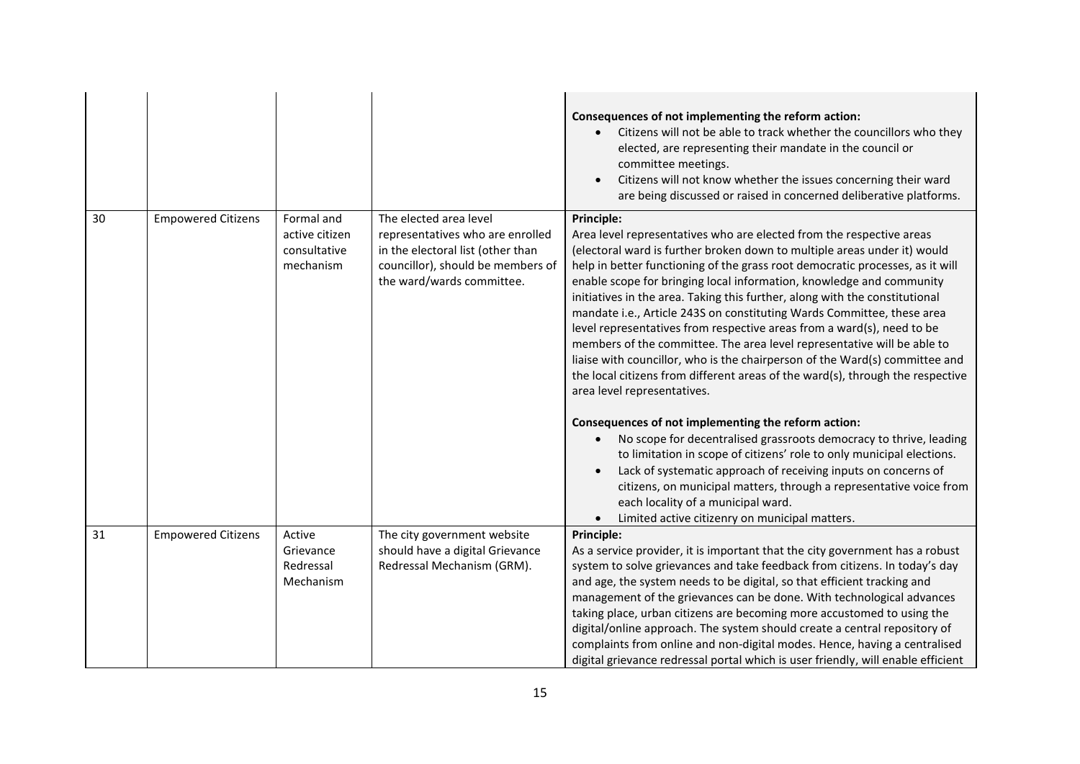|    |                           |                                                           |                                                                                                                                                                   | Consequences of not implementing the reform action:<br>Citizens will not be able to track whether the councillors who they<br>elected, are representing their mandate in the council or<br>committee meetings.<br>Citizens will not know whether the issues concerning their ward<br>are being discussed or raised in concerned deliberative platforms.                                                                                                                                                                                                                                                                                                                                                                                                                                                                                                                                                                                                                                                                                                                                                                                                                                                                                                                                   |
|----|---------------------------|-----------------------------------------------------------|-------------------------------------------------------------------------------------------------------------------------------------------------------------------|-------------------------------------------------------------------------------------------------------------------------------------------------------------------------------------------------------------------------------------------------------------------------------------------------------------------------------------------------------------------------------------------------------------------------------------------------------------------------------------------------------------------------------------------------------------------------------------------------------------------------------------------------------------------------------------------------------------------------------------------------------------------------------------------------------------------------------------------------------------------------------------------------------------------------------------------------------------------------------------------------------------------------------------------------------------------------------------------------------------------------------------------------------------------------------------------------------------------------------------------------------------------------------------------|
| 30 | <b>Empowered Citizens</b> | Formal and<br>active citizen<br>consultative<br>mechanism | The elected area level<br>representatives who are enrolled<br>in the electoral list (other than<br>councillor), should be members of<br>the ward/wards committee. | Principle:<br>Area level representatives who are elected from the respective areas<br>(electoral ward is further broken down to multiple areas under it) would<br>help in better functioning of the grass root democratic processes, as it will<br>enable scope for bringing local information, knowledge and community<br>initiatives in the area. Taking this further, along with the constitutional<br>mandate i.e., Article 243S on constituting Wards Committee, these area<br>level representatives from respective areas from a ward(s), need to be<br>members of the committee. The area level representative will be able to<br>liaise with councillor, who is the chairperson of the Ward(s) committee and<br>the local citizens from different areas of the ward(s), through the respective<br>area level representatives.<br>Consequences of not implementing the reform action:<br>No scope for decentralised grassroots democracy to thrive, leading<br>to limitation in scope of citizens' role to only municipal elections.<br>Lack of systematic approach of receiving inputs on concerns of<br>citizens, on municipal matters, through a representative voice from<br>each locality of a municipal ward.<br>Limited active citizenry on municipal matters.<br>$\bullet$ |
| 31 | <b>Empowered Citizens</b> | Active<br>Grievance<br>Redressal<br>Mechanism             | The city government website<br>should have a digital Grievance<br>Redressal Mechanism (GRM).                                                                      | Principle:<br>As a service provider, it is important that the city government has a robust<br>system to solve grievances and take feedback from citizens. In today's day<br>and age, the system needs to be digital, so that efficient tracking and<br>management of the grievances can be done. With technological advances<br>taking place, urban citizens are becoming more accustomed to using the<br>digital/online approach. The system should create a central repository of<br>complaints from online and non-digital modes. Hence, having a centralised<br>digital grievance redressal portal which is user friendly, will enable efficient                                                                                                                                                                                                                                                                                                                                                                                                                                                                                                                                                                                                                                      |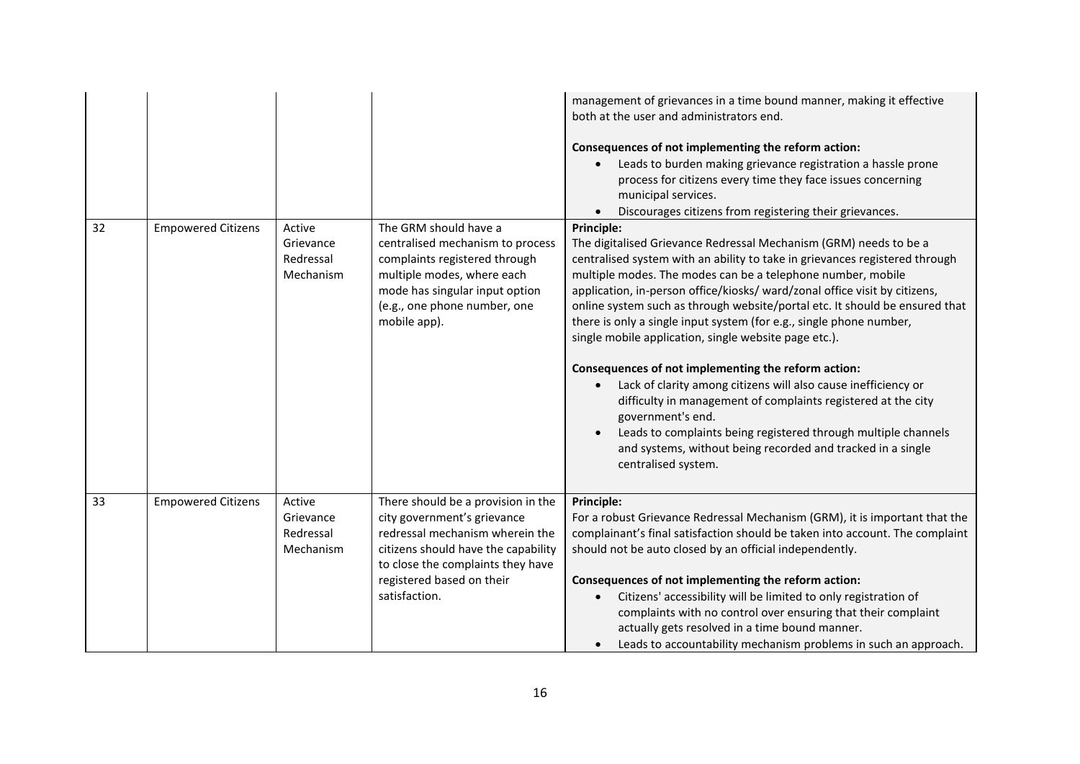|    |                           |                                               |                                                                                                                                                                                                                                | management of grievances in a time bound manner, making it effective<br>both at the user and administrators end.<br>Consequences of not implementing the reform action:<br>Leads to burden making grievance registration a hassle prone<br>process for citizens every time they face issues concerning<br>municipal services.<br>Discourages citizens from registering their grievances.                                                                                                                                                                                                                                                                                                                                                                                                                                                                                                          |
|----|---------------------------|-----------------------------------------------|--------------------------------------------------------------------------------------------------------------------------------------------------------------------------------------------------------------------------------|---------------------------------------------------------------------------------------------------------------------------------------------------------------------------------------------------------------------------------------------------------------------------------------------------------------------------------------------------------------------------------------------------------------------------------------------------------------------------------------------------------------------------------------------------------------------------------------------------------------------------------------------------------------------------------------------------------------------------------------------------------------------------------------------------------------------------------------------------------------------------------------------------|
| 32 | <b>Empowered Citizens</b> | Active<br>Grievance<br>Redressal<br>Mechanism | The GRM should have a<br>centralised mechanism to process<br>complaints registered through<br>multiple modes, where each<br>mode has singular input option<br>(e.g., one phone number, one<br>mobile app).                     | Principle:<br>The digitalised Grievance Redressal Mechanism (GRM) needs to be a<br>centralised system with an ability to take in grievances registered through<br>multiple modes. The modes can be a telephone number, mobile<br>application, in-person office/kiosks/ ward/zonal office visit by citizens,<br>online system such as through website/portal etc. It should be ensured that<br>there is only a single input system (for e.g., single phone number,<br>single mobile application, single website page etc.).<br>Consequences of not implementing the reform action:<br>Lack of clarity among citizens will also cause inefficiency or<br>difficulty in management of complaints registered at the city<br>government's end.<br>Leads to complaints being registered through multiple channels<br>and systems, without being recorded and tracked in a single<br>centralised system. |
| 33 | <b>Empowered Citizens</b> | Active<br>Grievance<br>Redressal<br>Mechanism | There should be a provision in the<br>city government's grievance<br>redressal mechanism wherein the<br>citizens should have the capability<br>to close the complaints they have<br>registered based on their<br>satisfaction. | Principle:<br>For a robust Grievance Redressal Mechanism (GRM), it is important that the<br>complainant's final satisfaction should be taken into account. The complaint<br>should not be auto closed by an official independently.<br>Consequences of not implementing the reform action:<br>Citizens' accessibility will be limited to only registration of<br>complaints with no control over ensuring that their complaint<br>actually gets resolved in a time bound manner.<br>Leads to accountability mechanism problems in such an approach.                                                                                                                                                                                                                                                                                                                                               |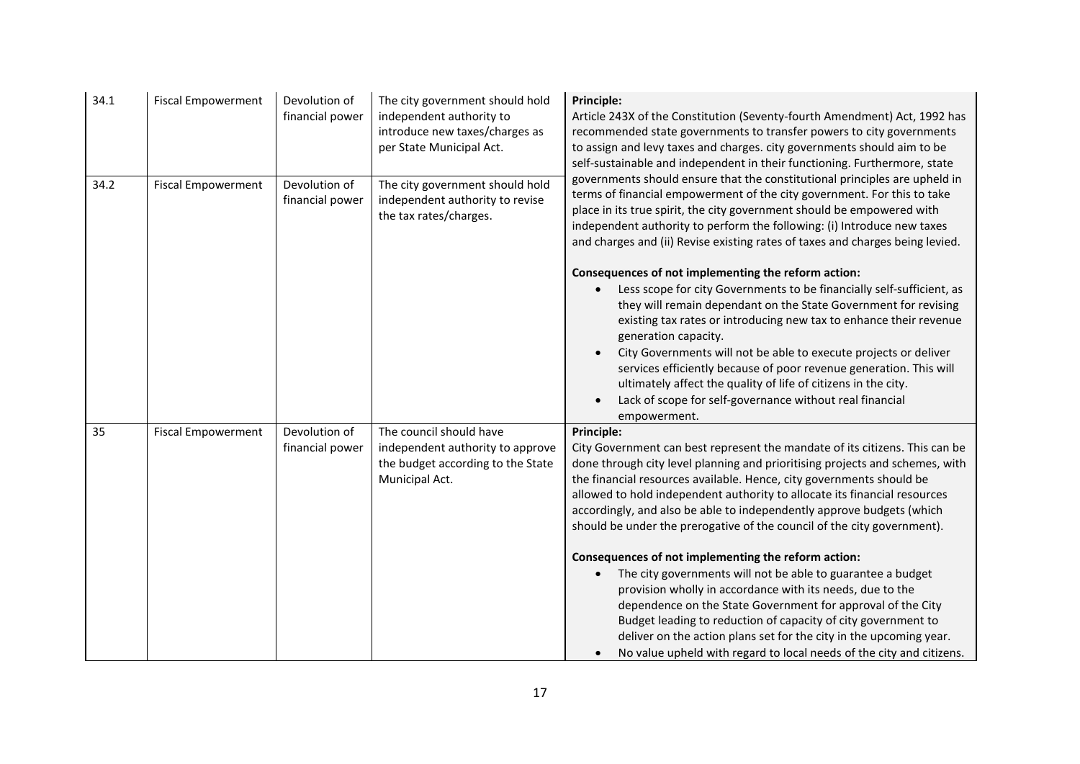| 34.1 | <b>Fiscal Empowerment</b> | Devolution of<br>financial power | The city government should hold<br>independent authority to<br>introduce new taxes/charges as<br>per State Municipal Act. | <b>Principle:</b><br>Article 243X of the Constitution (Seventy-fourth Amendment) Act, 1992 has<br>recommended state governments to transfer powers to city governments<br>to assign and levy taxes and charges. city governments should aim to be<br>self-sustainable and independent in their functioning. Furthermore, state                                                                                                                                                                                                                                                                                                                                                                                                                                                                                                                                                                                                                      |
|------|---------------------------|----------------------------------|---------------------------------------------------------------------------------------------------------------------------|-----------------------------------------------------------------------------------------------------------------------------------------------------------------------------------------------------------------------------------------------------------------------------------------------------------------------------------------------------------------------------------------------------------------------------------------------------------------------------------------------------------------------------------------------------------------------------------------------------------------------------------------------------------------------------------------------------------------------------------------------------------------------------------------------------------------------------------------------------------------------------------------------------------------------------------------------------|
| 34.2 | <b>Fiscal Empowerment</b> | Devolution of<br>financial power | The city government should hold<br>independent authority to revise<br>the tax rates/charges.                              | governments should ensure that the constitutional principles are upheld in<br>terms of financial empowerment of the city government. For this to take<br>place in its true spirit, the city government should be empowered with<br>independent authority to perform the following: (i) Introduce new taxes<br>and charges and (ii) Revise existing rates of taxes and charges being levied.                                                                                                                                                                                                                                                                                                                                                                                                                                                                                                                                                         |
|      |                           |                                  |                                                                                                                           | Consequences of not implementing the reform action:<br>Less scope for city Governments to be financially self-sufficient, as<br>they will remain dependant on the State Government for revising<br>existing tax rates or introducing new tax to enhance their revenue<br>generation capacity.<br>City Governments will not be able to execute projects or deliver<br>services efficiently because of poor revenue generation. This will<br>ultimately affect the quality of life of citizens in the city.<br>Lack of scope for self-governance without real financial<br>empowerment.                                                                                                                                                                                                                                                                                                                                                               |
| 35   | <b>Fiscal Empowerment</b> | Devolution of<br>financial power | The council should have<br>independent authority to approve<br>the budget according to the State<br>Municipal Act.        | Principle:<br>City Government can best represent the mandate of its citizens. This can be<br>done through city level planning and prioritising projects and schemes, with<br>the financial resources available. Hence, city governments should be<br>allowed to hold independent authority to allocate its financial resources<br>accordingly, and also be able to independently approve budgets (which<br>should be under the prerogative of the council of the city government).<br>Consequences of not implementing the reform action:<br>The city governments will not be able to guarantee a budget<br>provision wholly in accordance with its needs, due to the<br>dependence on the State Government for approval of the City<br>Budget leading to reduction of capacity of city government to<br>deliver on the action plans set for the city in the upcoming year.<br>No value upheld with regard to local needs of the city and citizens. |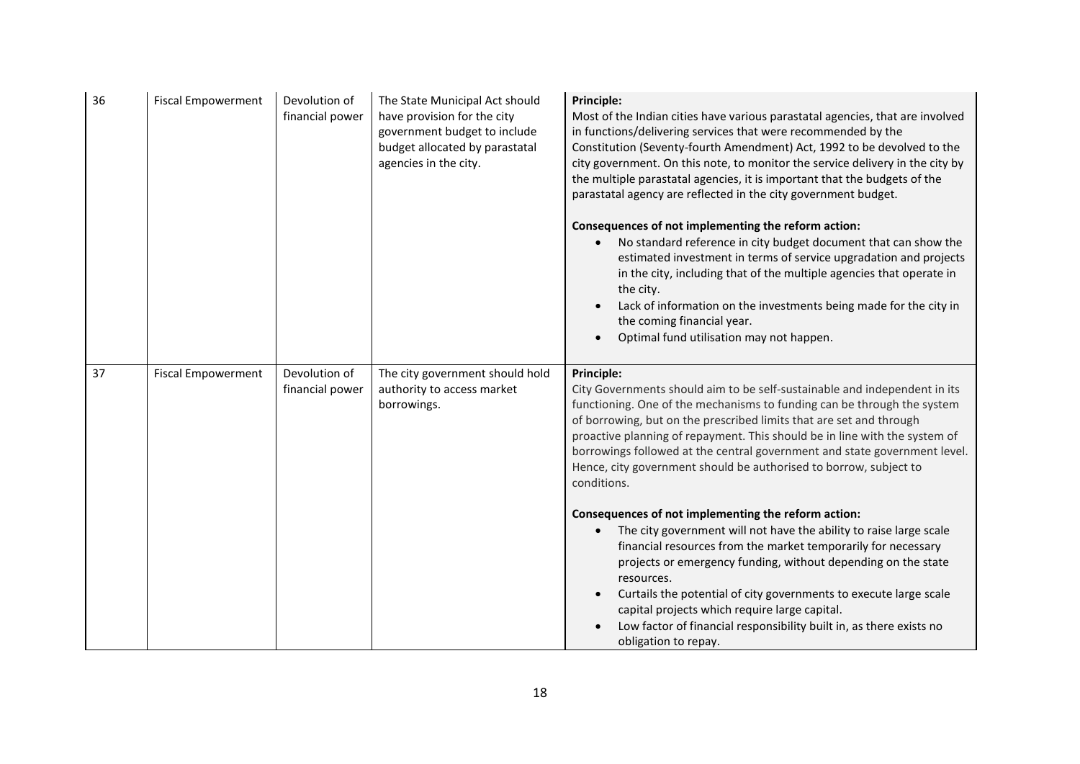| 36 | <b>Fiscal Empowerment</b> | Devolution of<br>financial power | The State Municipal Act should<br>have provision for the city<br>government budget to include<br>budget allocated by parastatal<br>agencies in the city. | <b>Principle:</b><br>Most of the Indian cities have various parastatal agencies, that are involved<br>in functions/delivering services that were recommended by the<br>Constitution (Seventy-fourth Amendment) Act, 1992 to be devolved to the<br>city government. On this note, to monitor the service delivery in the city by<br>the multiple parastatal agencies, it is important that the budgets of the<br>parastatal agency are reflected in the city government budget.<br>Consequences of not implementing the reform action:<br>No standard reference in city budget document that can show the<br>estimated investment in terms of service upgradation and projects<br>in the city, including that of the multiple agencies that operate in<br>the city.<br>Lack of information on the investments being made for the city in<br>the coming financial year.<br>Optimal fund utilisation may not happen.                                                                                 |
|----|---------------------------|----------------------------------|----------------------------------------------------------------------------------------------------------------------------------------------------------|---------------------------------------------------------------------------------------------------------------------------------------------------------------------------------------------------------------------------------------------------------------------------------------------------------------------------------------------------------------------------------------------------------------------------------------------------------------------------------------------------------------------------------------------------------------------------------------------------------------------------------------------------------------------------------------------------------------------------------------------------------------------------------------------------------------------------------------------------------------------------------------------------------------------------------------------------------------------------------------------------|
| 37 | <b>Fiscal Empowerment</b> | Devolution of<br>financial power | The city government should hold<br>authority to access market<br>borrowings.                                                                             | <b>Principle:</b><br>City Governments should aim to be self-sustainable and independent in its<br>functioning. One of the mechanisms to funding can be through the system<br>of borrowing, but on the prescribed limits that are set and through<br>proactive planning of repayment. This should be in line with the system of<br>borrowings followed at the central government and state government level.<br>Hence, city government should be authorised to borrow, subject to<br>conditions.<br>Consequences of not implementing the reform action:<br>The city government will not have the ability to raise large scale<br>financial resources from the market temporarily for necessary<br>projects or emergency funding, without depending on the state<br>resources.<br>Curtails the potential of city governments to execute large scale<br>capital projects which require large capital.<br>Low factor of financial responsibility built in, as there exists no<br>obligation to repay. |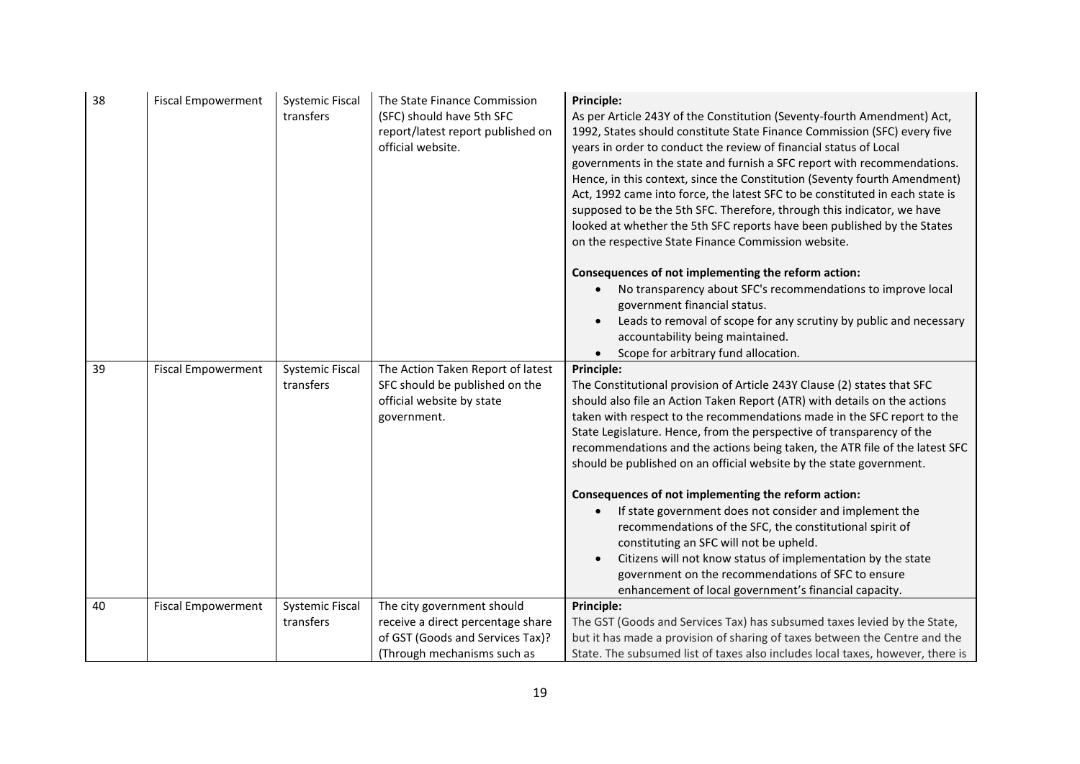| 38 | <b>Fiscal Empowerment</b> | <b>Systemic Fiscal</b><br>transfers | The State Finance Commission<br>(SFC) should have 5th SFC<br>report/latest report published on<br>official website. | <b>Principle:</b><br>As per Article 243Y of the Constitution (Seventy-fourth Amendment) Act,<br>1992, States should constitute State Finance Commission (SFC) every five<br>years in order to conduct the review of financial status of Local<br>governments in the state and furnish a SFC report with recommendations.<br>Hence, in this context, since the Constitution (Seventy fourth Amendment)<br>Act, 1992 came into force, the latest SFC to be constituted in each state is<br>supposed to be the 5th SFC. Therefore, through this indicator, we have<br>looked at whether the 5th SFC reports have been published by the States<br>on the respective State Finance Commission website.<br>Consequences of not implementing the reform action: |
|----|---------------------------|-------------------------------------|---------------------------------------------------------------------------------------------------------------------|----------------------------------------------------------------------------------------------------------------------------------------------------------------------------------------------------------------------------------------------------------------------------------------------------------------------------------------------------------------------------------------------------------------------------------------------------------------------------------------------------------------------------------------------------------------------------------------------------------------------------------------------------------------------------------------------------------------------------------------------------------|
|    |                           |                                     |                                                                                                                     | No transparency about SFC's recommendations to improve local<br>government financial status.<br>Leads to removal of scope for any scrutiny by public and necessary<br>accountability being maintained.                                                                                                                                                                                                                                                                                                                                                                                                                                                                                                                                                   |
|    |                           |                                     |                                                                                                                     | Scope for arbitrary fund allocation.                                                                                                                                                                                                                                                                                                                                                                                                                                                                                                                                                                                                                                                                                                                     |
| 39 | <b>Fiscal Empowerment</b> | <b>Systemic Fiscal</b><br>transfers | The Action Taken Report of latest<br>SFC should be published on the<br>official website by state<br>government.     | Principle:<br>The Constitutional provision of Article 243Y Clause (2) states that SFC<br>should also file an Action Taken Report (ATR) with details on the actions<br>taken with respect to the recommendations made in the SFC report to the<br>State Legislature. Hence, from the perspective of transparency of the<br>recommendations and the actions being taken, the ATR file of the latest SFC<br>should be published on an official website by the state government.                                                                                                                                                                                                                                                                             |
|    |                           |                                     |                                                                                                                     | Consequences of not implementing the reform action:                                                                                                                                                                                                                                                                                                                                                                                                                                                                                                                                                                                                                                                                                                      |
|    |                           |                                     |                                                                                                                     | If state government does not consider and implement the                                                                                                                                                                                                                                                                                                                                                                                                                                                                                                                                                                                                                                                                                                  |
|    |                           |                                     |                                                                                                                     | recommendations of the SFC, the constitutional spirit of                                                                                                                                                                                                                                                                                                                                                                                                                                                                                                                                                                                                                                                                                                 |
|    |                           |                                     |                                                                                                                     | constituting an SFC will not be upheld.                                                                                                                                                                                                                                                                                                                                                                                                                                                                                                                                                                                                                                                                                                                  |
|    |                           |                                     |                                                                                                                     | Citizens will not know status of implementation by the state                                                                                                                                                                                                                                                                                                                                                                                                                                                                                                                                                                                                                                                                                             |
|    |                           |                                     |                                                                                                                     | government on the recommendations of SFC to ensure                                                                                                                                                                                                                                                                                                                                                                                                                                                                                                                                                                                                                                                                                                       |
|    |                           |                                     |                                                                                                                     | enhancement of local government's financial capacity.                                                                                                                                                                                                                                                                                                                                                                                                                                                                                                                                                                                                                                                                                                    |
| 40 | <b>Fiscal Empowerment</b> | <b>Systemic Fiscal</b>              | The city government should                                                                                          | Principle:                                                                                                                                                                                                                                                                                                                                                                                                                                                                                                                                                                                                                                                                                                                                               |
|    |                           | transfers                           | receive a direct percentage share                                                                                   | The GST (Goods and Services Tax) has subsumed taxes levied by the State,                                                                                                                                                                                                                                                                                                                                                                                                                                                                                                                                                                                                                                                                                 |
|    |                           |                                     | of GST (Goods and Services Tax)?                                                                                    | but it has made a provision of sharing of taxes between the Centre and the                                                                                                                                                                                                                                                                                                                                                                                                                                                                                                                                                                                                                                                                               |
|    |                           |                                     | (Through mechanisms such as                                                                                         | State. The subsumed list of taxes also includes local taxes, however, there is                                                                                                                                                                                                                                                                                                                                                                                                                                                                                                                                                                                                                                                                           |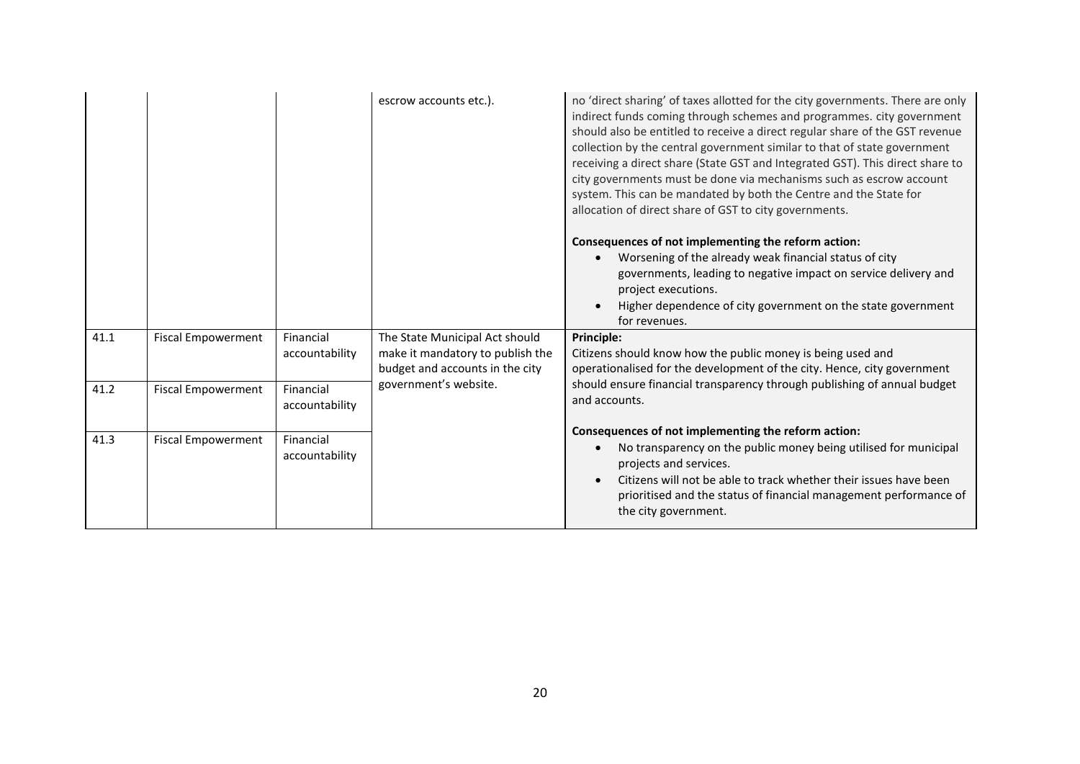|      |                           |                             | escrow accounts etc.).                                                                                | no 'direct sharing' of taxes allotted for the city governments. There are only<br>indirect funds coming through schemes and programmes. city government<br>should also be entitled to receive a direct regular share of the GST revenue<br>collection by the central government similar to that of state government<br>receiving a direct share (State GST and Integrated GST). This direct share to<br>city governments must be done via mechanisms such as escrow account<br>system. This can be mandated by both the Centre and the State for<br>allocation of direct share of GST to city governments. |
|------|---------------------------|-----------------------------|-------------------------------------------------------------------------------------------------------|------------------------------------------------------------------------------------------------------------------------------------------------------------------------------------------------------------------------------------------------------------------------------------------------------------------------------------------------------------------------------------------------------------------------------------------------------------------------------------------------------------------------------------------------------------------------------------------------------------|
|      |                           |                             |                                                                                                       | Consequences of not implementing the reform action:<br>Worsening of the already weak financial status of city<br>governments, leading to negative impact on service delivery and<br>project executions.<br>Higher dependence of city government on the state government<br>for revenues.                                                                                                                                                                                                                                                                                                                   |
| 41.1 | <b>Fiscal Empowerment</b> | Financial<br>accountability | The State Municipal Act should<br>make it mandatory to publish the<br>budget and accounts in the city | <b>Principle:</b><br>Citizens should know how the public money is being used and<br>operationalised for the development of the city. Hence, city government                                                                                                                                                                                                                                                                                                                                                                                                                                                |
| 41.2 | <b>Fiscal Empowerment</b> | Financial<br>accountability | government's website.                                                                                 | should ensure financial transparency through publishing of annual budget<br>and accounts.                                                                                                                                                                                                                                                                                                                                                                                                                                                                                                                  |
| 41.3 | <b>Fiscal Empowerment</b> | Financial<br>accountability |                                                                                                       | Consequences of not implementing the reform action:<br>No transparency on the public money being utilised for municipal<br>projects and services.<br>Citizens will not be able to track whether their issues have been<br>prioritised and the status of financial management performance of<br>the city government.                                                                                                                                                                                                                                                                                        |